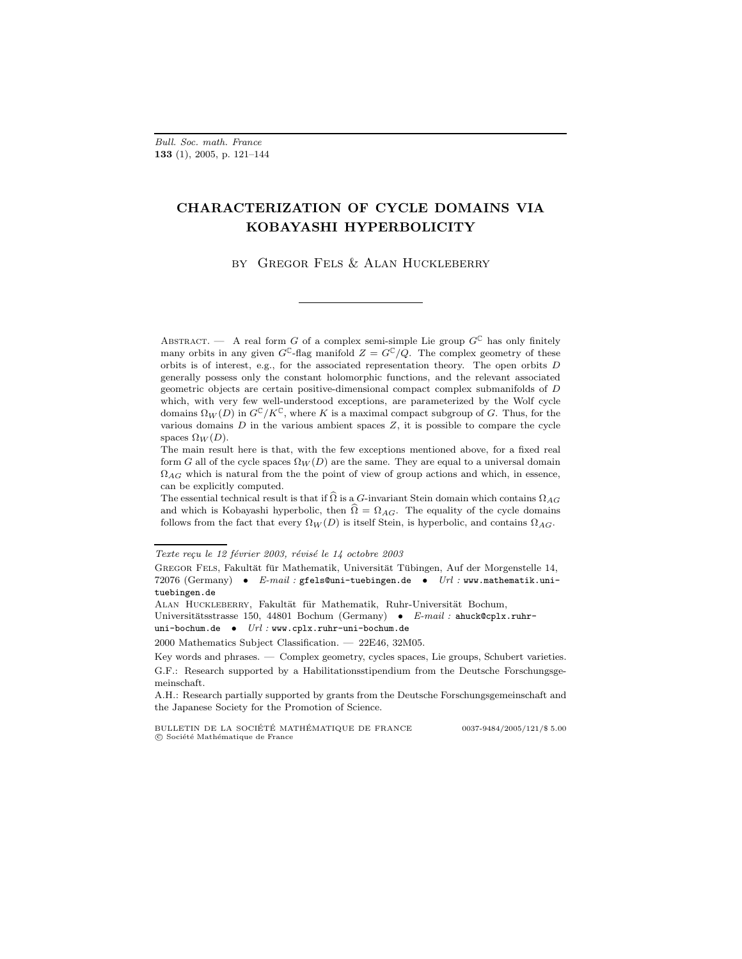Bull. Soc. math. France 133 (1), 2005, p. 121–144

# CHARACTERIZATION OF CYCLE DOMAINS VIA KOBAYASHI HYPERBOLICITY

by Gregor Fels & Alan Huckleberry

ABSTRACT. — A real form G of a complex semi-simple Lie group  $G^{\mathbb{C}}$  has only finitely many orbits in any given  $G^{\mathbb{C}}$ -flag manifold  $Z = G^{\mathbb{C}}/Q$ . The complex geometry of these orbits is of interest, e.g., for the associated representation theory. The open orbits  $D$ generally possess only the constant holomorphic functions, and the relevant associated geometric objects are certain positive-dimensional compact complex submanifolds of D which, with very few well-understood exceptions, are parameterized by the Wolf cycle domains  $\Omega_W(D)$  in  $G^{\mathbb{C}}/K^{\mathbb{C}}$ , where K is a maximal compact subgroup of G. Thus, for the various domains  $D$  in the various ambient spaces  $Z$ , it is possible to compare the cycle spaces  $\Omega_W(D)$ .

The main result here is that, with the few exceptions mentioned above, for a fixed real form G all of the cycle spaces  $\Omega_W(D)$  are the same. They are equal to a universal domain  $\Omega_{AG}$  which is natural from the the point of view of group actions and which, in essence, can be explicitly computed.

The essential technical result is that if  $\widehat{\Omega}$  is a G-invariant Stein domain which contains  $\Omega_{AG}$ and which is Kobayashi hyperbolic, then  $\hat{\Omega} = \Omega_{AG}$ . The equality of the cycle domains follows from the fact that every  $\Omega_W(D)$  is itself Stein, is hyperbolic, and contains  $\Omega_{AG}$ .

Texte reçu le 12 février 2003, révisé le 14 octobre 2003

GREGOR FELS, Fakultät für Mathematik, Universität Tübingen, Auf der Morgenstelle 14, 72076 (Germany) • E-mail : gfels@uni-tuebingen.de • Url : www.mathematik.unituebingen.de

ALAN HUCKLEBERRY, Fakultät für Mathematik, Ruhr-Universität Bochum,

Universitätsstrasse 150, 44801 Bochum (Germany) • E-mail : ahuck@cplx.ruhruni-bochum.de •  $Url:$ www.cplx.ruhr-uni-bochum.de

<sup>2000</sup> Mathematics Subject Classification. — 22E46, 32M05.

Key words and phrases. — Complex geometry, cycles spaces, Lie groups, Schubert varieties. G.F.: Research supported by a Habilitationsstipendium from the Deutsche Forschungsgemeinschaft.

A.H.: Research partially supported by grants from the Deutsche Forschungsgemeinschaft and the Japanese Society for the Promotion of Science.

BULLETIN DE LA SOCIÉTÉ MATHÉMATIQUE DE FRANCE  $0.037-9484/2005/121/$ \$ 5.00  $C$  Société Mathématique de France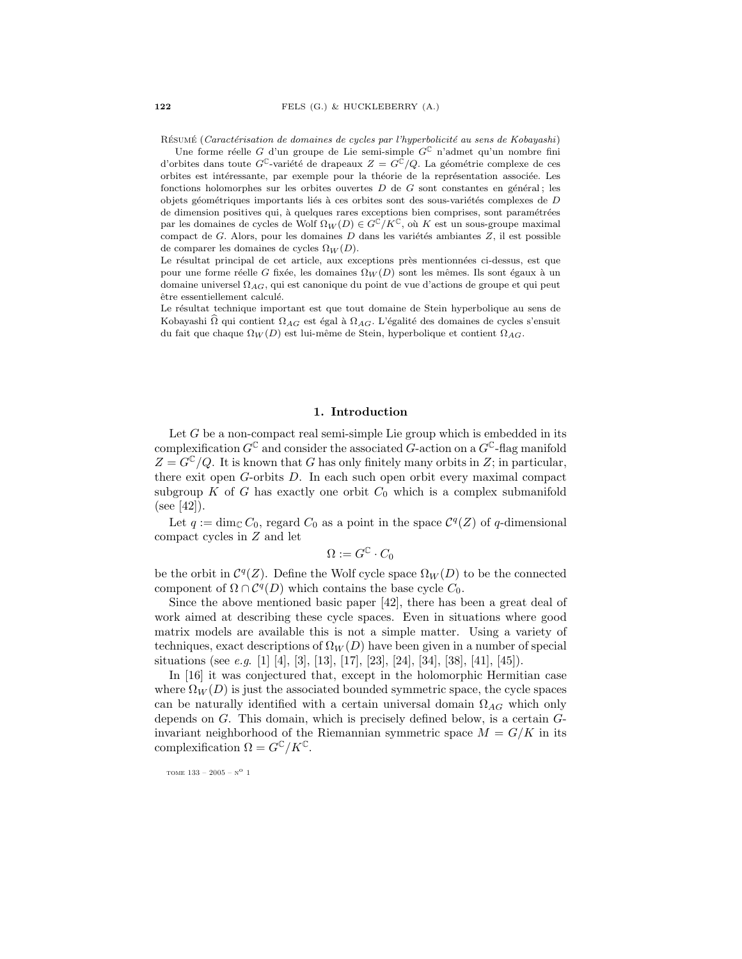RÉSUMÉ (Caractérisation de domaines de cycles par l'hyperbolicité au sens de Kobayashi)

Une forme réelle G d'un groupe de Lie semi-simple  $G^C$  n'admet qu'un nombre fini d'orbites dans toute  $G^{\mathbb{C}}$ -variété de drapeaux  $Z = G^{\mathbb{C}}/Q$ . La géométrie complexe de ces orbites est intéressante, par exemple pour la théorie de la représentation associée. Les fonctions holomorphes sur les orbites ouvertes  $D$  de  $G$  sont constantes en général; les objets géométriques importants liés à ces orbites sont des sous-variétés complexes de  $D$ de dimension positives qui, à quelques rares exceptions bien comprises, sont paramétrées par les domaines de cycles de Wolf  $\Omega_W(D) \in G^{\mathbb{C}}/K^{\mathbb{C}}$ , où K est un sous-groupe maximal compact de G. Alors, pour les domaines  $D$  dans les variétés ambiantes  $Z$ , il est possible de comparer les domaines de cycles  $\Omega_W(D)$ .

Le résultat principal de cet article, aux exceptions près mentionnées ci-dessus, est que pour une forme réelle G fixée, les domaines  $\Omega_W(D)$  sont les mêmes. Ils sont égaux à un domaine universel  $\Omega_{AG}$ , qui est canonique du point de vue d'actions de groupe et qui peut être essentiellement calculé.

Le résultat technique important est que tout domaine de Stein hyperbolique au sens de Kobayashi  $\overline{\Omega}$  qui contient  $\Omega_{AG}$  est égal à  $\Omega_{AG}$ . L'égalité des domaines de cycles s'ensuit du fait que chaque  $\Omega_W(D)$  est lui-même de Stein, hyperbolique et contient  $\Omega_{AG}$ .

#### 1. Introduction

Let  $G$  be a non-compact real semi-simple Lie group which is embedded in its complexification  $G^{\mathbb{C}}$  and consider the associated  $G$ -action on a  $G^{\mathbb{C}}$ -flag manifold  $Z = G^{\mathbb{C}}/Q$ . It is known that G has only finitely many orbits in Z; in particular, there exit open G-orbits D. In each such open orbit every maximal compact subgroup  $K$  of  $G$  has exactly one orbit  $C_0$  which is a complex submanifold (see [42]).

Let  $q := \dim_{\mathbb{C}} C_0$ , regard  $C_0$  as a point in the space  $\mathcal{C}^q(Z)$  of q-dimensional compact cycles in Z and let

$$
\Omega := G^{\mathbb{C}} \cdot C_0
$$

be the orbit in  $\mathcal{C}^q(Z)$ . Define the Wolf cycle space  $\Omega_W(D)$  to be the connected component of  $\Omega \cap C^q(D)$  which contains the base cycle  $C_0$ .

Since the above mentioned basic paper [42], there has been a great deal of work aimed at describing these cycle spaces. Even in situations where good matrix models are available this is not a simple matter. Using a variety of techniques, exact descriptions of  $\Omega_W(D)$  have been given in a number of special situations (see e.g. [1] [4], [3], [13], [17], [23], [24], [34], [38], [41], [45]).

In [16] it was conjectured that, except in the holomorphic Hermitian case where  $\Omega_W(D)$  is just the associated bounded symmetric space, the cycle spaces can be naturally identified with a certain universal domain  $\Omega_{AG}$  which only depends on G. This domain, which is precisely defined below, is a certain Ginvariant neighborhood of the Riemannian symmetric space  $M = G/K$  in its complexification  $\Omega = G^{\mathbb{C}} / K^{\mathbb{C}}$ .

tome 133 – 2005 –  $\mathrm{N}^\mathrm{O}$  1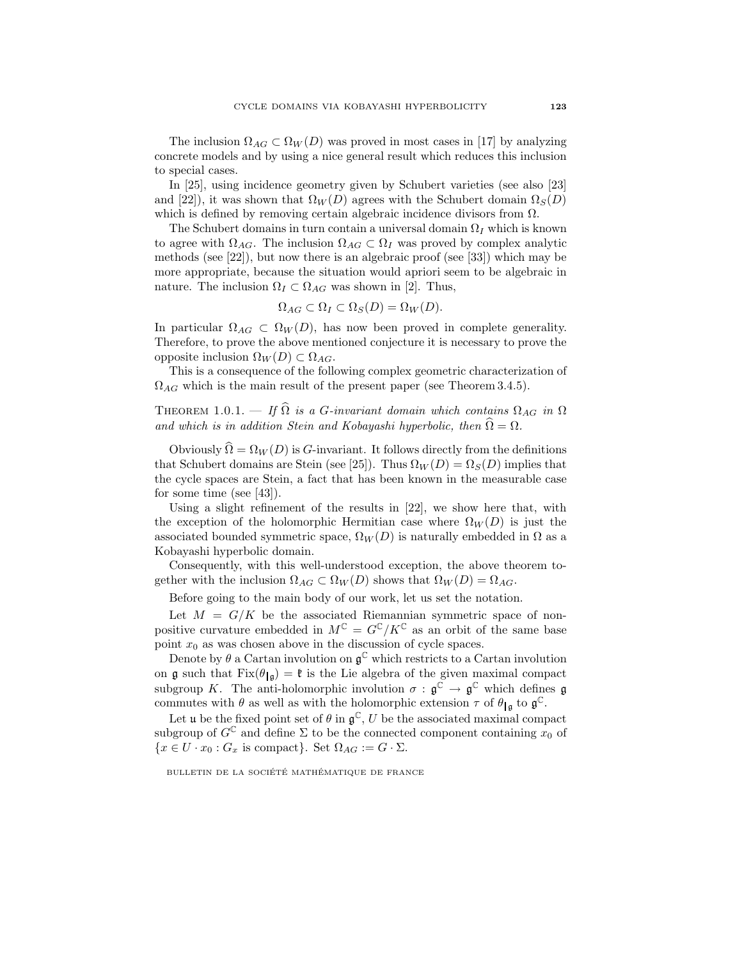The inclusion  $\Omega_{AG} \subset \Omega_W(D)$  was proved in most cases in [17] by analyzing concrete models and by using a nice general result which reduces this inclusion to special cases.

In [25], using incidence geometry given by Schubert varieties (see also [23] and [22]), it was shown that  $\Omega_W(D)$  agrees with the Schubert domain  $\Omega_S(D)$ which is defined by removing certain algebraic incidence divisors from  $\Omega$ .

The Schubert domains in turn contain a universal domain  $\Omega_I$  which is known to agree with  $\Omega_{AG}$ . The inclusion  $\Omega_{AG} \subset \Omega_I$  was proved by complex analytic methods (see [22]), but now there is an algebraic proof (see [33]) which may be more appropriate, because the situation would apriori seem to be algebraic in nature. The inclusion  $\Omega_I \subset \Omega_{AG}$  was shown in [2]. Thus,

$$
\Omega_{AG} \subset \Omega_I \subset \Omega_S(D) = \Omega_W(D).
$$

In particular  $\Omega_{AG} \subset \Omega_W(D)$ , has now been proved in complete generality. Therefore, to prove the above mentioned conjecture it is necessary to prove the opposite inclusion  $\Omega_W(D) \subset \Omega_{AG}$ .

This is a consequence of the following complex geometric characterization of  $\Omega_{AG}$  which is the main result of the present paper (see Theorem 3.4.5).

THEOREM 1.0.1. — If  $\widehat{\Omega}$  is a G-invariant domain which contains  $\Omega_{AG}$  in  $\Omega$ and which is in addition Stein and Kobayashi hyperbolic, then  $\widehat{\Omega} = \Omega$ .

Obviously  $\hat{\Omega} = \Omega_W(D)$  is G-invariant. It follows directly from the definitions that Schubert domains are Stein (see [25]). Thus  $\Omega_W(D) = \Omega_S(D)$  implies that the cycle spaces are Stein, a fact that has been known in the measurable case for some time (see [43]).

Using a slight refinement of the results in [22], we show here that, with the exception of the holomorphic Hermitian case where  $\Omega_W(D)$  is just the associated bounded symmetric space,  $\Omega_W(D)$  is naturally embedded in  $\Omega$  as a Kobayashi hyperbolic domain.

Consequently, with this well-understood exception, the above theorem together with the inclusion  $\Omega_{AG} \subset \Omega_W(D)$  shows that  $\Omega_W(D) = \Omega_{AG}$ .

Before going to the main body of our work, let us set the notation.

Let  $M = G/K$  be the associated Riemannian symmetric space of nonpositive curvature embedded in  $M^{\mathbb{C}} = G^{\mathbb{C}}/K^{\mathbb{C}}$  as an orbit of the same base point  $x_0$  as was chosen above in the discussion of cycle spaces.

Denote by  $\theta$  a Cartan involution on  $\mathfrak{g}^{\mathbb{C}}$  which restricts to a Cartan involution on g such that  $Fix(\theta_{\vert \mathfrak{g}}) = \mathfrak{k}$  is the Lie algebra of the given maximal compact subgroup K. The anti-holomorphic involution  $\sigma : \mathfrak{g}^{\mathbb{C}} \to \mathfrak{g}^{\mathbb{C}}$  which defines  $\mathfrak{g}$ commutes with  $\theta$  as well as with the holomorphic extension  $\tau$  of  $\theta_{\lg}$  to  $\mathfrak{g}^{\mathbb{C}}$ .

Let **u** be the fixed point set of  $\theta$  in  $\mathfrak{g}^{\mathbb{C}}$ , U be the associated maximal compact subgroup of  $G^{\mathbb{C}}$  and define  $\Sigma$  to be the connected component containing  $x_0$  of  ${x \in U \cdot x_0 : G_x \text{ is compact}}$ . Set  $\Omega_{AG} := G \cdot \Sigma$ .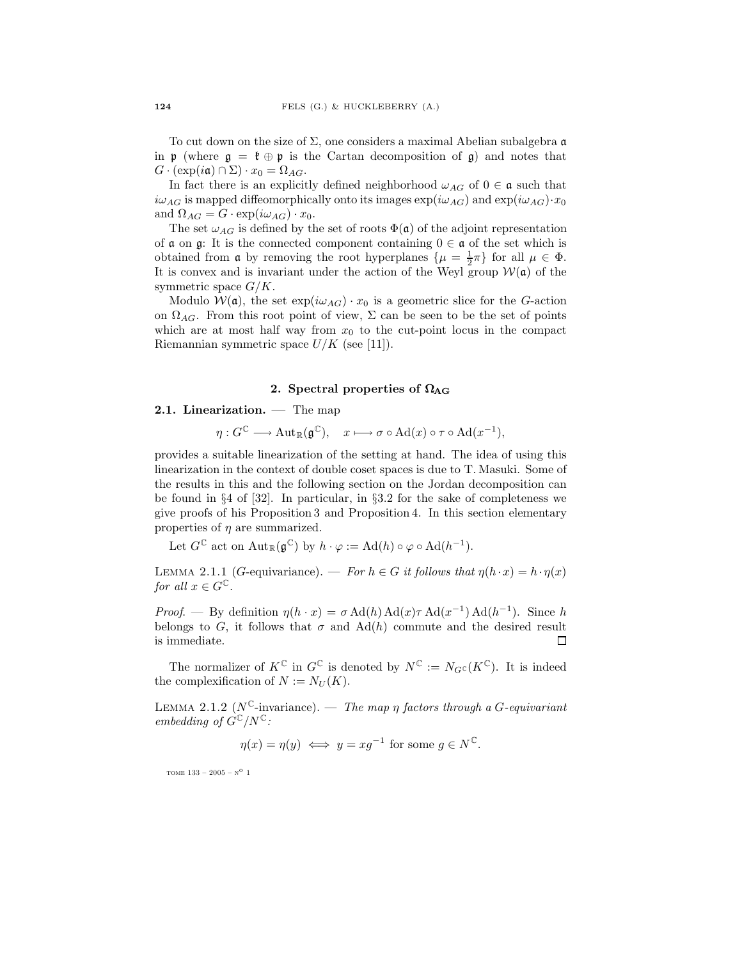To cut down on the size of  $\Sigma$ , one considers a maximal Abelian subalgebra  $\mathfrak a$ in p (where  $g = \mathfrak{k} \oplus \mathfrak{p}$  is the Cartan decomposition of g) and notes that  $G \cdot (\exp(i\mathfrak{a}) \cap \Sigma) \cdot x_0 = \Omega_{AG}.$ 

In fact there is an explicitly defined neighborhood  $\omega_{AG}$  of  $0 \in \mathfrak{a}$  such that  $i\omega_{AG}$  is mapped diffeomorphically onto its images  $\exp(i\omega_{AG})$  and  $\exp(i\omega_{AG})\cdot x_0$ and  $\Omega_{AG} = G \cdot \exp(i\omega_{AG}) \cdot x_0$ .

The set  $\omega_{AG}$  is defined by the set of roots  $\Phi(\mathfrak{a})$  of the adjoint representation of  $\alpha$  on  $\beta$ : It is the connected component containing  $0 \in \alpha$  of the set which is obtained from **a** by removing the root hyperplanes  $\{\mu = \frac{1}{2}\pi\}$  for all  $\mu \in \Phi$ . It is convex and is invariant under the action of the Weyl group  $W(\mathfrak{a})$  of the symmetric space  $G/K$ .

Modulo  $W(\mathfrak{a})$ , the set  $\exp(i\omega_{AG}) \cdot x_0$  is a geometric slice for the G-action on  $\Omega_{AG}$ . From this root point of view,  $\Sigma$  can be seen to be the set of points which are at most half way from  $x_0$  to the cut-point locus in the compact Riemannian symmetric space  $U/K$  (see [11]).

## 2. Spectral properties of  $\Omega_{\rm AG}$

### 2.1. Linearization. — The map

$$
\eta: G^{\mathbb{C}} \longrightarrow \mathrm{Aut}_{\mathbb{R}}(\mathfrak{g}^{\mathbb{C}}), \quad x \longmapsto \sigma \circ \mathrm{Ad}(x) \circ \tau \circ \mathrm{Ad}(x^{-1}),
$$

provides a suitable linearization of the setting at hand. The idea of using this linearization in the context of double coset spaces is due to T. Masuki. Some of the results in this and the following section on the Jordan decomposition can be found in  $\S 4$  of  $[32]$ . In particular, in  $\S 3.2$  for the sake of completeness we give proofs of his Proposition 3 and Proposition 4. In this section elementary properties of  $\eta$  are summarized.

Let  $G^{\mathbb{C}}$  act on  $\text{Aut}_{\mathbb{R}}(\mathfrak{g}^{\mathbb{C}})$  by  $h \cdot \varphi := \text{Ad}(h) \circ \varphi \circ \text{Ad}(h^{-1}).$ 

LEMMA 2.1.1 (G-equivariance). — For  $h \in G$  it follows that  $\eta(h \cdot x) = h \cdot \eta(x)$ for all  $x \in G^{\mathbb{C}}$ .

Proof. — By definition  $\eta(h \cdot x) = \sigma \text{Ad}(h) \text{Ad}(x) \tau \text{Ad}(x^{-1}) \text{Ad}(h^{-1})$ . Since h belongs to G, it follows that  $\sigma$  and Ad(h) commute and the desired result is immediate.  $\Box$ 

The normalizer of  $K^{\mathbb{C}}$  in  $G^{\mathbb{C}}$  is denoted by  $N^{\mathbb{C}} := N_{G^{\mathbb{C}}}(K^{\mathbb{C}})$ . It is indeed the complexification of  $N := N_U(K)$ .

LEMMA 2.1.2 ( $N^{\mathbb{C}}$ -invariance). — The map  $\eta$  factors through a G-equivariant embedding of  $G^{\mathbb{C}}/N^{\mathbb{C}}$ :

$$
\eta(x) = \eta(y) \iff y = xg^{-1}
$$
 for some  $g \in N^{\mathbb{C}}$ .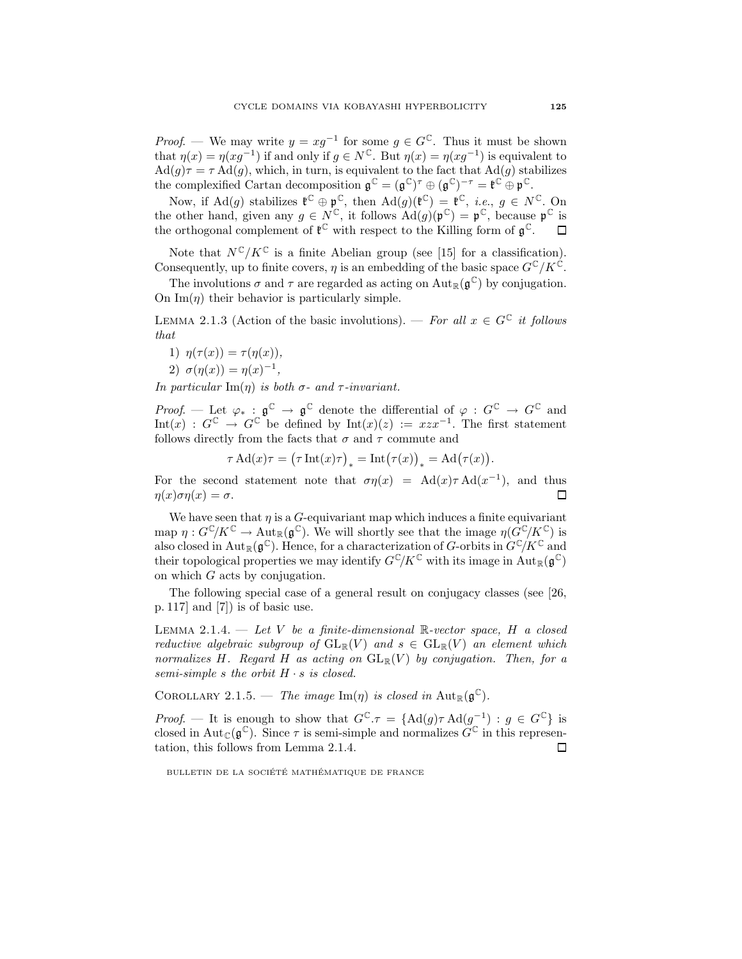*Proof.* — We may write  $y = xg^{-1}$  for some  $g \in G^{\mathbb{C}}$ . Thus it must be shown that  $\eta(x) = \eta(xg^{-1})$  if and only if  $g \in N^{\mathbb{C}}$ . But  $\eta(x) = \eta(xg^{-1})$  is equivalent to  $\text{Ad}(g)\tau = \tau \text{Ad}(g)$ , which, in turn, is equivalent to the fact that  $\text{Ad}(g)$  stabilizes the complexified Cartan decomposition  $\mathfrak{g}^{\mathbb{C}} = (\mathfrak{g}^{\mathbb{C}})^{\tau} \oplus (\mathfrak{g}^{\mathbb{C}})^{-\tau} = \mathfrak{k}^{\mathbb{C}} \oplus \mathfrak{p}^{\mathbb{C}}.$ 

Now, if  $\text{Ad}(g)$  stabilizes  $\mathfrak{k}^{\mathbb{C}} \oplus \mathfrak{p}^{\mathbb{C}}$ , then  $\text{Ad}(g)(\mathfrak{k}^{\mathbb{C}}) = \mathfrak{k}^{\mathbb{C}}$ , *i.e.*,  $g \in N^{\mathbb{C}}$ . On the other hand, given any  $g \in N^{\mathbb{C}}$ , it follows  $\text{Ad}(g)(\mathfrak{p}^{\mathbb{C}}) = \mathfrak{p}^{\mathbb{C}}$ , because  $\mathfrak{p}^{\mathbb{C}}$  is the orthogonal complement of  $\mathfrak{k}^{\mathbb{C}}$  with respect to the Killing form of  $\mathfrak{g}^{\mathbb{C}}$ .

Note that  $N^{\mathbb{C}}/K^{\mathbb{C}}$  is a finite Abelian group (see [15] for a classification). Consequently, up to finite covers,  $\eta$  is an embedding of the basic space  $G^{\mathbb{C}}/K^{\mathbb{C}}$ .

The involutions  $\sigma$  and  $\tau$  are regarded as acting on  $\text{Aut}_{\mathbb{R}}(\mathfrak{g}^{\mathbb{C}})$  by conjugation. On  $\text{Im}(\eta)$  their behavior is particularly simple.

LEMMA 2.1.3 (Action of the basic involutions). — For all  $x \in G^{\mathbb{C}}$  it follows that

1)  $\eta(\tau(x)) = \tau(\eta(x)),$ 

$$
2)\ \sigma(\eta(x))=\eta(x)^{-1},
$$

In particular Im( $\eta$ ) is both  $\sigma$ - and  $\tau$ -invariant.

*Proof.* — Let  $\varphi_* : \mathfrak{g}^{\mathbb{C}} \to \mathfrak{g}^{\mathbb{C}}$  denote the differential of  $\varphi : G^{\mathbb{C}} \to G^{\mathbb{C}}$  and Int $(x)$ :  $G^{\mathbb{C}} \to G^{\mathbb{C}}$  be defined by Int $(x)(z) := xzx^{-1}$ . The first statement follows directly from the facts that  $\sigma$  and  $\tau$  commute and

$$
\tau \operatorname{Ad}(x)\tau = (\tau \operatorname{Int}(x)\tau)_* = \operatorname{Int}(\tau(x))_* = \operatorname{Ad}(\tau(x)).
$$

For the second statement note that  $\sigma\eta(x) = \text{Ad}(x)\tau \text{Ad}(x^{-1})$ , and thus  $\eta(x)\sigma\eta(x)=\sigma.$ □

We have seen that  $\eta$  is a G-equivariant map which induces a finite equivariant map  $\eta: G^{\mathbb{C}}/K^{\mathbb{C}} \to \text{Aut}_{\mathbb{R}}(\mathfrak{g}^{\mathbb{C}})$ . We will shortly see that the image  $\eta(\hat{G}^{\mathbb{C}}/K^{\mathbb{C}})$  is also closed in  ${\rm Aut}_{\mathbb R}(\mathfrak g^\mathbb C).$  Hence, for a characterization of G-orbits in  $G^{\mathbb C}/K^{\mathbb C}$  and their topological properties we may identify  $G^{\mathbb{C}}/K^{\mathbb{C}}$  with its image in  $\text{Aut}_{\mathbb{R}}(\mathfrak{g}^{\mathbb{C}})$ on which G acts by conjugation.

The following special case of a general result on conjugacy classes (see [26, p. 117] and [7]) is of basic use.

LEMMA 2.1.4. — Let V be a finite-dimensional  $\mathbb{R}\text{-vector space}, H$  a closed reductive algebraic subgroup of  $GL_{\mathbb{R}}(V)$  and  $s \in GL_{\mathbb{R}}(V)$  an element which normalizes H. Regard H as acting on  $GL_{\mathbb{R}}(V)$  by conjugation. Then, for a semi-simple s the orbit  $H \cdot s$  is closed.

COROLLARY 2.1.5. — The image  $\text{Im}(\eta)$  is closed in  $\text{Aut}_{\mathbb{R}}(\mathfrak{g}^{\mathbb{C}})$ .

*Proof.* — It is enough to show that  $G^{\mathbb{C}}.\tau = \{ \text{Ad}(g)\tau \text{Ad}(g^{-1}) : g \in G^{\mathbb{C}} \}$  is closed in Aut<sub>C</sub>( $\mathfrak{g}^{\mathbb{C}}$ ). Since  $\tau$  is semi-simple and normalizes  $G^{\mathbb{C}}$  in this representation, this follows from Lemma 2.1.4.  $\Box$ 

BULLETIN DE LA SOCIÉTÉ MATHÉMATIQUE DE FRANCE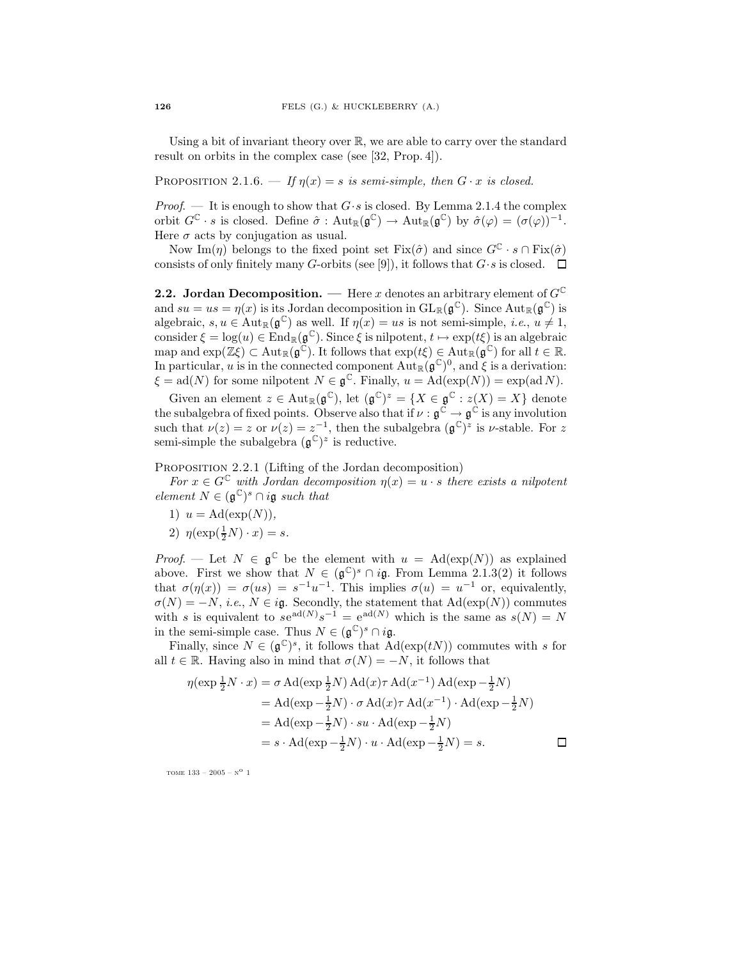Using a bit of invariant theory over  $\mathbb{R}$ , we are able to carry over the standard result on orbits in the complex case (see [32, Prop. 4]).

PROPOSITION 2.1.6. — If  $\eta(x) = s$  is semi-simple, then  $G \cdot x$  is closed.

*Proof.* — It is enough to show that  $G \cdot s$  is closed. By Lemma 2.1.4 the complex orbit  $G^{\mathbb{C}} \cdot s$  is closed. Define  $\hat{\sigma} : \text{Aut}_{\mathbb{R}}(\mathfrak{g}^{\mathbb{C}}) \to \text{Aut}_{\mathbb{R}}(\mathfrak{g}^{\mathbb{C}})$  by  $\hat{\sigma}(\varphi) = (\sigma(\varphi))^{-1}$ . Here  $\sigma$  acts by conjugation as usual.

Now Im(*n*) belongs to the fixed point set Fix( $\hat{\sigma}$ ) and since  $G^{\mathbb{C}} \cdot s \cap \text{Fix}(\hat{\sigma})$ consists of only finitely many G-orbits (see [9]), it follows that  $G \cdot s$  is closed.  $\Box$ 

**2.2.** Jordan Decomposition. — Here x denotes an arbitrary element of  $G^{\mathbb{C}}$ and  $su = us = \eta(x)$  is its Jordan decomposition in  $GL_{\mathbb{R}}(\mathfrak{g}^{\mathbb{C}})$ . Since  $Aut_{\mathbb{R}}(\mathfrak{g}^{\mathbb{C}})$  is algebraic,  $s, u \in Aut_{\mathbb{R}}(\mathfrak{g}^{\mathbb{C}})$  as well. If  $\eta(x) = us$  is not semi-simple, *i.e.*,  $u \neq 1$ , consider  $\xi = \log(u) \in \text{End}_{\mathbb{R}}(\mathfrak{g}^{\mathbb{C}})$ . Since  $\xi$  is nilpotent,  $t \mapsto \exp(t\xi)$  is an algebraic map and  $\exp(\mathbb{Z}\xi) \subset \text{Aut}_{\mathbb{R}}(\mathfrak{g}^{\mathbb{C}})$ . It follows that  $\exp(t\xi) \in \text{Aut}_{\mathbb{R}}(\mathfrak{g}^{\mathbb{C}})$  for all  $t \in \mathbb{R}$ . In particular, u is in the connected component  $Aut_{\mathbb{R}}(\mathfrak{g}^{\mathbb{C}})^0$ , and  $\xi$  is a derivation:  $\xi = \text{ad}(N)$  for some nilpotent  $N \in \mathfrak{g}^{\mathbb{C}}$ . Finally,  $u = \text{Ad}(\exp(N)) = \exp(\text{ad }N)$ .

Given an element  $z \in \text{Aut}_{\mathbb{R}}(\mathfrak{g}^{\mathbb{C}})$ , let  $(\mathfrak{g}^{\mathbb{C}})^{z} = \{X \in \mathfrak{g}^{\mathbb{C}} : z(X) = X\}$  denote the subalgebra of fixed points. Observe also that if  $\nu : \mathfrak{g}^{\mathbb{C}} \to \mathfrak{g}^{\mathbb{C}}$  is any involution such that  $\nu(z) = z$  or  $\nu(z) = z^{-1}$ , then the subalgebra  $(\mathfrak{g}^{\mathbb{C}})^z$  is *v*-stable. For z semi-simple the subalgebra  $(\mathfrak{g}^{\mathbb{C}})^z$  is reductive.

PROPOSITION 2.2.1 (Lifting of the Jordan decomposition)

For  $x \in G^{\mathbb{C}}$  with Jordan decomposition  $\eta(x) = u \cdot s$  there exists a nilpotent element  $N \in (\mathfrak{g}^{\mathbb{C}})^s \cap i\mathfrak{g}$  such that

- 1)  $u = \text{Ad}(\exp(N)),$
- 2)  $\eta(\exp(\frac{1}{2}N) \cdot x) = s.$

*Proof.* — Let  $N \in \mathfrak{g}^{\mathbb{C}}$  be the element with  $u = \text{Ad}(\exp(N))$  as explained above. First we show that  $N \in (\mathfrak{g}^{\mathbb{C}})^s \cap i\mathfrak{g}$ . From Lemma 2.1.3(2) it follows that  $\sigma(\eta(x)) = \sigma(us) = s^{-1}u^{-1}$ . This implies  $\sigma(u) = u^{-1}$  or, equivalently,  $\sigma(N) = -N$ , *i.e.*,  $N \in i\mathfrak{g}$ . Secondly, the statement that  $\text{Ad}(\exp(N))$  commutes with s is equivalent to  $se^{ad(N)}s^{-1} = e^{ad(N)}$  which is the same as  $s(N) = N$ in the semi-simple case. Thus  $N \in (\mathfrak{g}^{\mathbb{C}})^s \cap i\mathfrak{g}$ .

Finally, since  $N \in (\mathfrak{g}^{\mathbb{C}})^s$ , it follows that  $\text{Ad}(\exp(tN))$  commutes with s for all  $t \in \mathbb{R}$ . Having also in mind that  $\sigma(N) = -N$ , it follows that

$$
\eta(\exp \frac{1}{2}N \cdot x) = \sigma \operatorname{Ad}(\exp \frac{1}{2}N) \operatorname{Ad}(x)\tau \operatorname{Ad}(x^{-1}) \operatorname{Ad}(\exp -\frac{1}{2}N)
$$
  
\n
$$
= \operatorname{Ad}(\exp -\frac{1}{2}N) \cdot \sigma \operatorname{Ad}(x)\tau \operatorname{Ad}(x^{-1}) \cdot \operatorname{Ad}(\exp -\frac{1}{2}N)
$$
  
\n
$$
= \operatorname{Ad}(\exp -\frac{1}{2}N) \cdot su \cdot \operatorname{Ad}(\exp -\frac{1}{2}N)
$$
  
\n
$$
= s \cdot \operatorname{Ad}(\exp -\frac{1}{2}N) \cdot u \cdot \operatorname{Ad}(\exp -\frac{1}{2}N) = s.
$$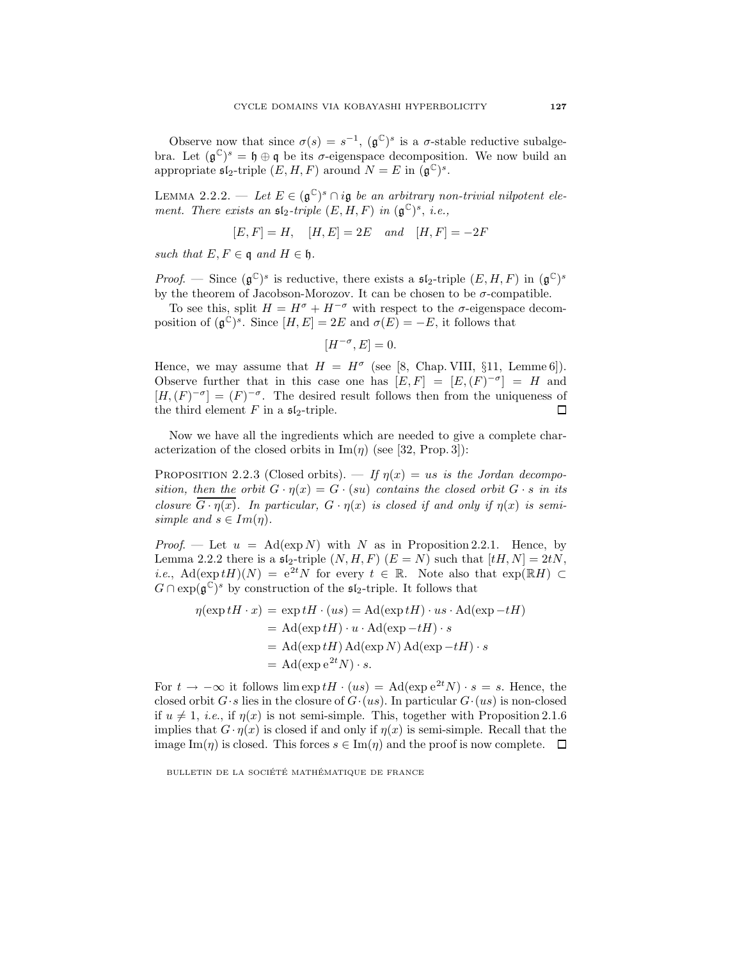Observe now that since  $\sigma(s) = s^{-1}$ ,  $(\mathfrak{g}^{\mathbb{C}})^s$  is a  $\sigma$ -stable reductive subalgebra. Let  $(\mathfrak{g}^{\mathbb{C}})^s = \mathfrak{h} \oplus \mathfrak{q}$  be its  $\sigma$ -eigenspace decomposition. We now build an appropriate  $\mathfrak{sl}_2$ -triple  $(E, H, F)$  around  $N = E$  in  $(\mathfrak{g}^{\mathbb{C}})^s$ .

LEMMA 2.2.2. — Let  $E \in (\mathfrak{g}^{\mathbb{C}})^s \cap i\mathfrak{g}$  be an arbitrary non-trivial nilpotent element. There exists an  $\mathfrak{sl}_2$ -triple  $(E, H, F)$  in  $(\mathfrak{g}^{\mathbb{C}})^s$ , i.e.,

$$
[E, F] = H
$$
,  $[H, E] = 2E$  and  $[H, F] = -2F$ 

such that  $E, F \in \mathfrak{q}$  and  $H \in \mathfrak{h}$ .

*Proof.* — Since  $(\mathfrak{g}^{\mathbb{C}})^s$  is reductive, there exists a  $\mathfrak{sl}_2$ -triple  $(E, H, F)$  in  $(\mathfrak{g}^{\mathbb{C}})^s$ by the theorem of Jacobson-Morozov. It can be chosen to be  $\sigma$ -compatible.

To see this, split  $H = H^{\sigma} + H^{-\sigma}$  with respect to the  $\sigma$ -eigenspace decomposition of  $(\mathfrak{g}^{\mathbb{C}})^s$ . Since  $[H, E] = 2E$  and  $\sigma(E) = -E$ , it follows that

$$
[H^{-\sigma}, E] = 0.
$$

Hence, we may assume that  $H = H^{\sigma}$  (see [8, Chap. VIII, §11, Lemme 6]). Observe further that in this case one has  $[E, F] = [E, (F)^{-\sigma}] = H$  and  $[H,(F)^{-\sigma}] = (F)^{-\sigma}$ . The desired result follows then from the uniqueness of the third element  $F$  in a  $\mathfrak{sl}_2$ -triple.  $\Box$ 

Now we have all the ingredients which are needed to give a complete characterization of the closed orbits in  $\text{Im}(\eta)$  (see [32, Prop. 3]):

PROPOSITION 2.2.3 (Closed orbits). — If  $\eta(x) = us$  is the Jordan decomposition, then the orbit  $G \cdot \eta(x) = G \cdot (su)$  contains the closed orbit  $G \cdot s$  in its closure  $\overline{G \cdot \eta(x)}$ . In particular,  $G \cdot \eta(x)$  is closed if and only if  $\eta(x)$  is semisimple and  $s \in Im(\eta)$ .

*Proof.* — Let  $u = \text{Ad}(\exp N)$  with N as in Proposition 2.2.1. Hence, by Lemma 2.2.2 there is a  $\mathfrak{sl}_2$ -triple  $(N, H, F)$   $(E = N)$  such that  $[tH, N] = 2tN$ , *i.e.*, Ad(exp tH)(N) =  $e^{2t}N$  for every  $t \in \mathbb{R}$ . Note also that  $exp(\mathbb{R}H) \subset$  $G \cap \exp(\mathfrak{g}^{\mathbb{C}})^s$  by construction of the  $\mathfrak{sl}_2$ -triple. It follows that

$$
\eta(\exp tH \cdot x) = \exp tH \cdot (us) = \text{Ad}(\exp tH) \cdot us \cdot \text{Ad}(\exp -tH)
$$
  
= Ad(\exp tH) \cdot u \cdot \text{Ad}(\exp -tH) \cdot s  
= Ad(\exp tH) \text{Ad}(\exp N) \text{Ad}(\exp -tH) \cdot s  
= Ad(\exp e^{2t}N) \cdot s.

For  $t \to -\infty$  it follows lim  $\exp tH \cdot (us) = \text{Ad}(\exp e^{2t}N) \cdot s = s$ . Hence, the closed orbit  $G \cdot s$  lies in the closure of  $G \cdot (us)$ . In particular  $G \cdot (us)$  is non-closed if  $u \neq 1$ , *i.e.*, if  $\eta(x)$  is not semi-simple. This, together with Proposition 2.1.6 implies that  $G \cdot \eta(x)$  is closed if and only if  $\eta(x)$  is semi-simple. Recall that the image Im( $\eta$ ) is closed. This forces  $s \in \text{Im}(\eta)$  and the proof is now complete.  $\Box$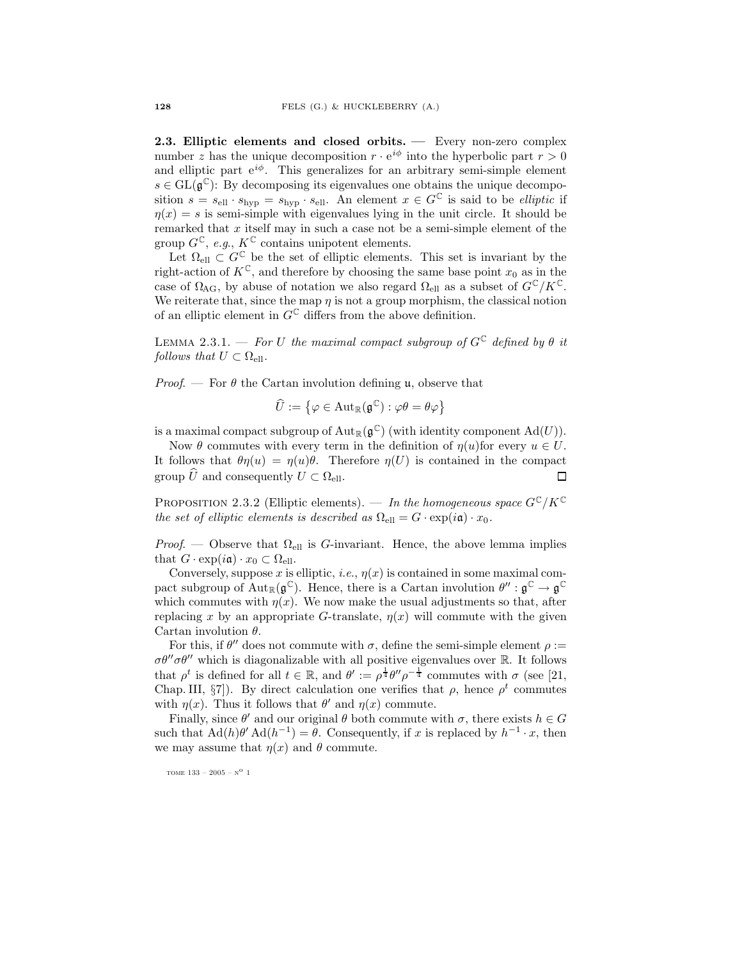2.3. Elliptic elements and closed orbits. — Every non-zero complex number z has the unique decomposition  $r \cdot e^{i\phi}$  into the hyperbolic part  $r > 0$ and elliptic part  $e^{i\phi}$ . This generalizes for an arbitrary semi-simple element  $s \in GL(\mathfrak{g}^{\mathbb{C}})$ : By decomposing its eigenvalues one obtains the unique decomposition  $s = s_{\text{ell}} \cdot s_{\text{hyp}} = s_{\text{hyp}} \cdot s_{\text{ell}}$ . An element  $x \in G^{\mathbb{C}}$  is said to be *elliptic* if  $\eta(x) = s$  is semi-simple with eigenvalues lying in the unit circle. It should be remarked that  $x$  itself may in such a case not be a semi-simple element of the group  $G^{\mathbb{C}}$ , e.g.,  $K^{\mathbb{C}}$  contains unipotent elements.

Let  $\Omega_{\text{ell}} \subset G^{\mathbb{C}}$  be the set of elliptic elements. This set is invariant by the right-action of  $K^{\mathbb{C}}$ , and therefore by choosing the same base point  $x_0$  as in the case of  $\Omega_{\text{AG}}$ , by abuse of notation we also regard  $\Omega_{\text{ell}}$  as a subset of  $G^{\mathbb{C}}/K^{\mathbb{C}}$ . We reiterate that, since the map  $\eta$  is not a group morphism, the classical notion of an elliptic element in  $G^{\mathbb{C}}$  differs from the above definition.

LEMMA 2.3.1. — For U the maximal compact subgroup of  $G^{\mathbb{C}}$  defined by  $\theta$  it follows that  $U \subset \Omega_{\text{ell}}$ .

*Proof.* — For  $\theta$  the Cartan involution defining **u**, observe that

$$
\widehat{U}:=\left\{\varphi\in\mathrm{Aut}_{\mathbb{R}}(\mathfrak{g}^{\mathbb{C}}):\varphi\theta=\theta\varphi\right\}
$$

is a maximal compact subgroup of  $\mathrm{Aut}_\mathbb{R}(\mathfrak{g}^\mathbb{C})$  (with identity component  $\mathrm{Ad}(U)$ ).

Now  $\theta$  commutes with every term in the definition of  $\eta(u)$  for every  $u \in U$ . It follows that  $\theta \eta(u) = \eta(u)\theta$ . Therefore  $\eta(U)$  is contained in the compact group  $\hat{U}$  and consequently  $U \subset \Omega_{\text{ell}}$ . П

PROPOSITION 2.3.2 (Elliptic elements). — In the homogeneous space  $G^{\mathbb{C}}/K^{\mathbb{C}}$ the set of elliptic elements is described as  $\Omega_{\text{ell}} = G \cdot \exp(i\mathfrak{a}) \cdot x_0$ .

*Proof.* — Observe that  $\Omega_{\text{ell}}$  is G-invariant. Hence, the above lemma implies that  $G \cdot \exp(i\mathfrak{a}) \cdot x_0 \subset \Omega_{\text{ell}}$ .

Conversely, suppose x is elliptic, i.e.,  $\eta(x)$  is contained in some maximal compact subgroup of  ${\rm Aut}_{\mathbb{R}}(\mathfrak{g}^{\mathbb{C}})$ . Hence, there is a Cartan involution  $\theta'' : \mathfrak{g}^{\mathbb{C}} \to \mathfrak{g}^{\mathbb{C}}$ which commutes with  $\eta(x)$ . We now make the usual adjustments so that, after replacing x by an appropriate G-translate,  $\eta(x)$  will commute with the given Cartan involution  $\theta$ .

For this, if  $\theta''$  does not commute with  $\sigma$ , define the semi-simple element  $\rho :=$  $\sigma\theta''\sigma\theta''$  which is diagonalizable with all positive eigenvalues over R. It follows that  $\rho^t$  is defined for all  $t \in \mathbb{R}$ , and  $\theta' := \rho^{\frac{1}{4}} \theta'' \rho^{-\frac{1}{4}}$  commutes with  $\sigma$  (see [21, Chap. III, §7]). By direct calculation one verifies that  $\rho$ , hence  $\rho^t$  commutes with  $\eta(x)$ . Thus it follows that  $\theta'$  and  $\eta(x)$  commute.

Finally, since  $\theta'$  and our original  $\theta$  both commute with  $\sigma$ , there exists  $h \in G$ such that  $\text{Ad}(h)\theta' \text{Ad}(h^{-1}) = \theta$ . Consequently, if x is replaced by  $h^{-1} \cdot x$ , then we may assume that  $\eta(x)$  and  $\theta$  commute.

tome 133 – 2005 –  $\mathrm{N}^\mathrm{O}$  1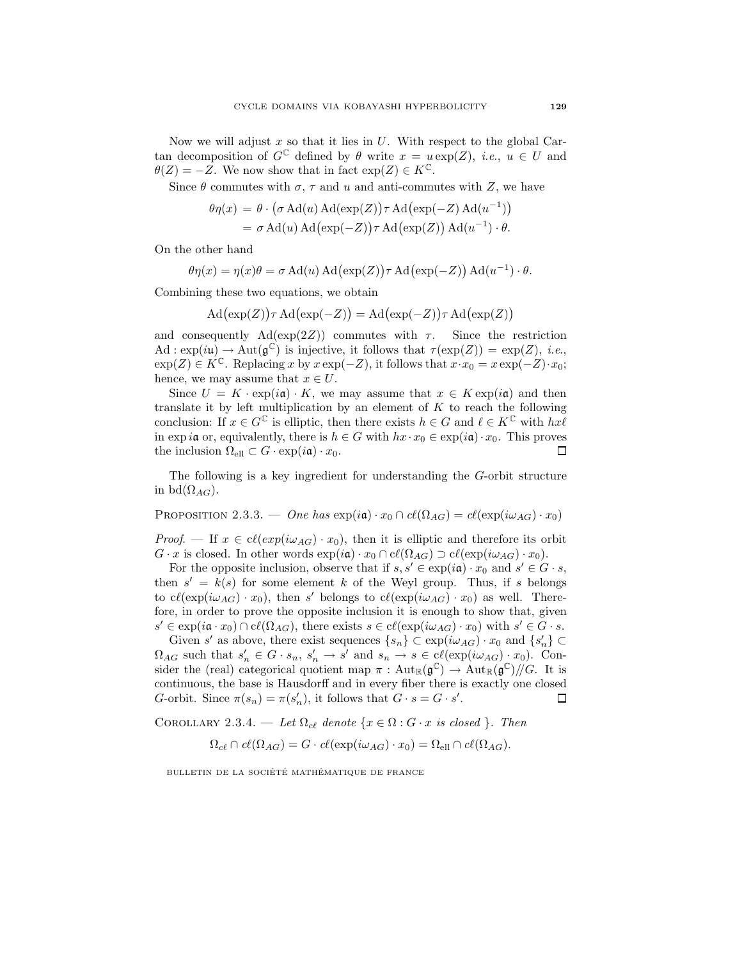Now we will adjust x so that it lies in  $U$ . With respect to the global Cartan decomposition of  $G^{\mathbb{C}}$  defined by  $\theta$  write  $x = u \exp(Z)$ , *i.e.*,  $u \in U$  and  $\theta(Z) = -Z$ . We now show that in fact  $\exp(Z) \in K^{\mathbb{C}}$ .

Since  $\theta$  commutes with  $\sigma$ ,  $\tau$  and  $u$  and anti-commutes with  $Z$ , we have

$$
\theta \eta(x) = \theta \cdot (\sigma \operatorname{Ad}(u) \operatorname{Ad}(\exp(Z)) \tau \operatorname{Ad}(\exp(-Z) \operatorname{Ad}(u^{-1}))
$$
  
=  $\sigma \operatorname{Ad}(u) \operatorname{Ad}(\exp(-Z)) \tau \operatorname{Ad}(\exp(Z)) \operatorname{Ad}(u^{-1}) \cdot \theta$ .

On the other hand

$$
\theta \eta(x) = \eta(x)\theta = \sigma \operatorname{Ad}(u) \operatorname{Ad}(\exp(Z)) \tau \operatorname{Ad}(\exp(-Z)) \operatorname{Ad}(u^{-1}) \cdot \theta.
$$

Combining these two equations, we obtain

 $\operatorname{Ad}(\exp(Z))\tau \operatorname{Ad}(\exp(-Z)) = \operatorname{Ad}(\exp(-Z))\tau \operatorname{Ad}(\exp(Z))$ 

and consequently  $\text{Ad}(\exp(2Z))$  commutes with  $\tau$ . Since the restriction  $\mathrm{Ad}: \exp(i\mathfrak{u}) \to \mathrm{Aut}(\mathfrak{g}^{\mathbb{C}})$  is injective, it follows that  $\tau(\exp(Z)) = \exp(Z)$ , *i.e.*,  $\exp(Z) \in K^{\mathbb{C}}$ . Replacing x by  $x \exp(-Z)$ , it follows that  $x \cdot x_0 = x \exp(-Z) \cdot x_0$ ; hence, we may assume that  $x \in U$ .

Since  $U = K \cdot \exp(i\mathfrak{a}) \cdot K$ , we may assume that  $x \in K \exp(i\mathfrak{a})$  and then translate it by left multiplication by an element of  $K$  to reach the following conclusion: If  $x \in G^{\mathbb{C}}$  is elliptic, then there exists  $h \in G$  and  $\ell \in K^{\mathbb{C}}$  with  $hx\ell$ in exp ia or, equivalently, there is  $h \in G$  with  $hx \cdot x_0 \in \exp(i\mathfrak{a}) \cdot x_0$ . This proves the inclusion  $\Omega_{\text{ell}} \subset G \cdot \exp(i\mathfrak{a}) \cdot x_0$ .  $\Box$ 

The following is a key ingredient for understanding the G-orbit structure in bd $(\Omega_{AG})$ .

PROPOSITION 2.3.3. — One has  $\exp(i\mathfrak{a}) \cdot x_0 \cap cl(\Omega_{AG}) = cl(\exp(i\omega_{AG}) \cdot x_0)$ 

*Proof.* — If  $x \in c\ell(exp(i\omega_{AG}) \cdot x_0)$ , then it is elliptic and therefore its orbit  $G \cdot x$  is closed. In other words  $\exp(i\mathfrak{a}) \cdot x_0 \cap c\ell(\Omega_{AG}) \supset c\ell(\exp(i\omega_{AG}) \cdot x_0)$ .

For the opposite inclusion, observe that if  $s, s' \in \exp(i\mathfrak{a}) \cdot x_0$  and  $s' \in G \cdot s$ , then  $s' = k(s)$  for some element k of the Weyl group. Thus, if s belongs to  $c(\exp(i\omega_{AG}) \cdot x_0)$ , then s' belongs to  $c(\exp(i\omega_{AG}) \cdot x_0)$  as well. Therefore, in order to prove the opposite inclusion it is enough to show that, given  $s' \in \exp(i\mathfrak{a} \cdot x_0) \cap cl(\Omega_{AG})$ , there exists  $s \in cl(\exp(i\omega_{AG}) \cdot x_0)$  with  $s' \in G \cdot s$ .

Given s' as above, there exist sequences  $\{s_n\} \subset \exp(i\omega_{AG}) \cdot x_0$  and  $\{s'_n\} \subset$  $\Omega_{AG}$  such that  $s'_n \in G \cdot s_n$ ,  $s'_n \to s'$  and  $s_n \to s \in c\ell(\exp(i\omega_{AG}) \cdot x_0)$ . Consider the (real) categorical quotient map  $\pi$ : Aut $_{\mathbb{R}}(\mathfrak{g}^{\mathbb{C}}) \to$  Aut $_{\mathbb{R}}(\mathfrak{g}^{\mathbb{C}})/\!/ G$ . It is continuous, the base is Hausdorff and in every fiber there is exactly one closed G-orbit. Since  $\pi(s_n) = \pi(s'_n)$ , it follows that  $G \cdot s = G \cdot s'$ .  $\Box$ 

COROLLARY 2.3.4. — Let  $\Omega_{c\ell}$  denote  $\{x \in \Omega : G \cdot x \text{ is closed } \}$ . Then

$$
\Omega_{c\ell} \cap c\ell(\Omega_{AG}) = G \cdot c\ell(\exp(i\omega_{AG}) \cdot x_0) = \Omega_{\text{ell}} \cap c\ell(\Omega_{AG}).
$$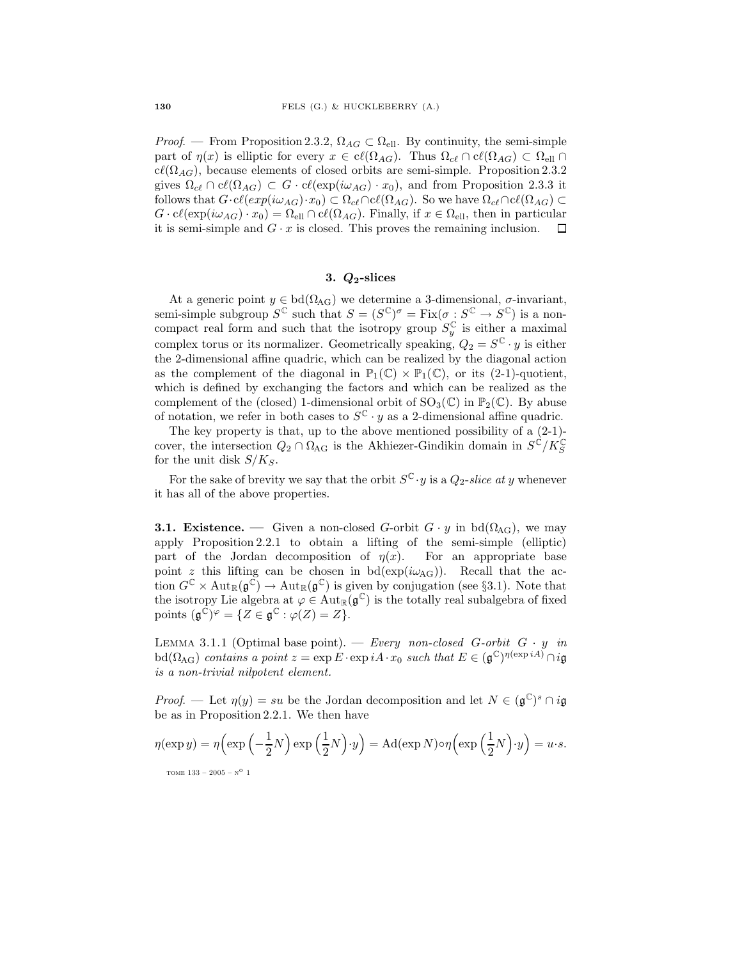*Proof.* — From Proposition 2.3.2,  $\Omega_{AG} \subset \Omega_{\text{ell}}$ . By continuity, the semi-simple part of  $\eta(x)$  is elliptic for every  $x \in cl(\Omega_{AG})$ . Thus  $\Omega_{c\ell} \cap cl(\Omega_{AG}) \subset \Omega_{ell} \cap$  $c\ell(\Omega_{AG})$ , because elements of closed orbits are semi-simple. Proposition 2.3.2 gives  $\Omega_{c\ell} \cap cl(\Omega_{AG}) \subset G \cdot cl(\exp(i\omega_{AG}) \cdot x_0)$ , and from Proposition 2.3.3 it follows that  $G \cdot cl(exp(i\omega_{AG})\cdot x_0) \subset \Omega_{c\ell} \cap cl(\Omega_{AG})$ . So we have  $\Omega_{c\ell} \cap cl(\Omega_{AG}) \subset$  $G \cdot c\ell(\exp(i\omega_{AG}) \cdot x_0) = \Omega_{\text{ell}} \cap c\ell(\Omega_{AG})$ . Finally, if  $x \in \Omega_{\text{ell}}$ , then in particular it is semi-simple and  $G \cdot x$  is closed. This proves the remaining inclusion.  $\Box$ 

#### 3.  $Q_2$ -slices

At a generic point  $y \in bd(\Omega_{AG})$  we determine a 3-dimensional,  $\sigma$ -invariant, semi-simple subgroup  $S^{\mathbb{C}}$  such that  $S = (S^{\mathbb{C}})^{\sigma} = \text{Fix}(\sigma : S^{\mathbb{C}} \to S^{\mathbb{C}})$  is a noncompact real form and such that the isotropy group  $S_y^{\mathbb{C}}$  is either a maximal complex torus or its normalizer. Geometrically speaking,  $Q_2 = S^{\mathbb{C}} \cdot y$  is either the 2-dimensional affine quadric, which can be realized by the diagonal action as the complement of the diagonal in  $\mathbb{P}_1(\mathbb{C}) \times \mathbb{P}_1(\mathbb{C})$ , or its (2-1)-quotient, which is defined by exchanging the factors and which can be realized as the complement of the (closed) 1-dimensional orbit of  $SO_3(\mathbb{C})$  in  $\mathbb{P}_2(\mathbb{C})$ . By abuse of notation, we refer in both cases to  $S^{\mathbb{C}} \cdot y$  as a 2-dimensional affine quadric.

The key property is that, up to the above mentioned possibility of a (2-1) cover, the intersection  $Q_2 \cap \Omega_{\text{AG}}$  is the Akhiezer-Gindikin domain in  $S^{\mathbb{C}}/K_S^{\mathbb{C}}$ for the unit disk  $S/K_S$ .

For the sake of brevity we say that the orbit  $S^{\mathbb{C}}\cdot y$  is a  $Q_2\text{-}slice$  at y whenever it has all of the above properties.

**3.1. Existence.** — Given a non-closed G-orbit  $G \cdot y$  in bd $(\Omega_{AG})$ , we may apply Proposition 2.2.1 to obtain a lifting of the semi-simple (elliptic) part of the Jordan decomposition of  $\eta(x)$ . For an appropriate base point z this lifting can be chosen in  $bd(exp(i\omega_{AG}))$ . Recall that the action  $G^{\mathbb{C}} \times \text{Aut}_{\mathbb{R}}(\mathfrak{g}^{\mathbb{C}}) \to \text{Aut}_{\mathbb{R}}(\mathfrak{g}^{\mathbb{C}})$  is given by conjugation (see §3.1). Note that the isotropy Lie algebra at  $\varphi \in \text{Aut}_{\mathbb{R}}(\mathfrak{g}^{\mathbb{C}})$  is the totally real subalgebra of fixed points  $(\mathfrak{g}^{\mathbb{C}})^{\varphi} = \{ Z \in \mathfrak{g}^{\mathbb{C}} : \varphi(Z) = Z \}.$ 

LEMMA 3.1.1 (Optimal base point). — Every non-closed G-orbit  $G \cdot y$  in  $\mathrm{bd}(\Omega_{\text{AG}})$  contains a point  $z = \exp E \cdot \exp i A \cdot x_0$  such that  $E \in (\mathfrak{g}^{\mathbb{C}})^{\eta(\exp i A)} \cap i\mathfrak{g}$ is a non-trivial nilpotent element.

*Proof.* — Let  $\eta(y) = su$  be the Jordan decomposition and let  $N \in (\mathfrak{g}^{\mathbb{C}})^s \cap i\mathfrak{g}$ be as in Proposition 2.2.1. We then have

$$
\eta(\exp y) = \eta\left(\exp\left(-\frac{1}{2}N\right)\exp\left(\frac{1}{2}N\right)\cdot y\right) = \mathrm{Ad}(\exp N)\circ\eta\left(\exp\left(\frac{1}{2}N\right)\cdot y\right) = u \cdot s.
$$
\n<sub>TOME 133 - 2005 - N<sup>o</sup> 1</sub>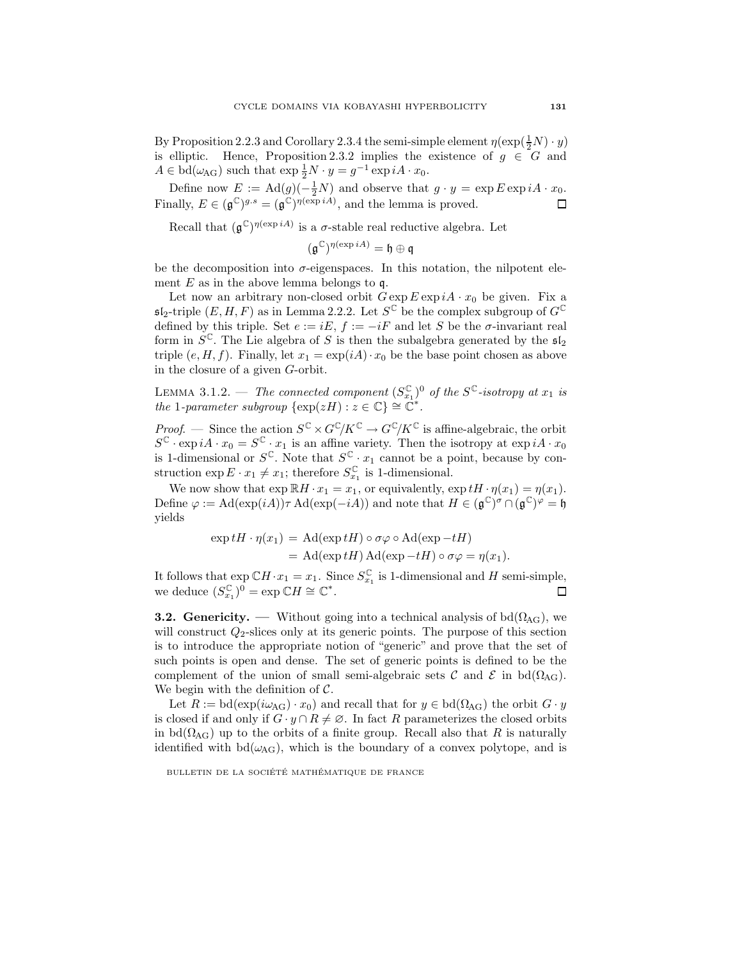By Proposition 2.2.3 and Corollary 2.3.4 the semi-simple element  $\eta(\exp(\frac{1}{2}N) \cdot y)$ is elliptic. Hence, Proposition 2.3.2 implies the existence of  $g \in G$  and  $A \in \text{bd}(\omega_{\text{AG}})$  such that  $\exp \frac{1}{2}N \cdot y = g^{-1} \exp iA \cdot x_0$ .

Define now  $E := \text{Ad}(g)(-\frac{1}{2}N)$  and observe that  $g \cdot y = \exp E \exp iA \cdot x_0$ . Finally,  $E \in (\mathfrak{g}^{\mathbb{C}})^{g.s} = (\mathfrak{g}^{\mathbb{C}})^{\eta(\exp{iA})}$ , and the lemma is proved.  $\Box$ 

Recall that  $(\mathfrak{g}^{\mathbb{C}})^{\eta(\exp iA)}$  is a  $\sigma$ -stable real reductive algebra. Let

$$
(\mathfrak{g}^{\mathbb{C}})^{\eta(\exp{iA})}=\mathfrak{h}\oplus\mathfrak{q}
$$

be the decomposition into  $\sigma$ -eigenspaces. In this notation, the nilpotent element  $E$  as in the above lemma belongs to  $\mathfrak{q}$ .

Let now an arbitrary non-closed orbit  $G \exp E \exp iA \cdot x_0$  be given. Fix a  $\mathfrak{sl}_2$ -triple  $(E, H, F)$  as in Lemma 2.2.2. Let  $S^{\mathbb{C}}$  be the complex subgroup of  $G^{\mathbb{C}}$ defined by this triple. Set  $e := iE$ ,  $f := -iF$  and let S be the  $\sigma$ -invariant real form in  $S^{\mathbb{C}}$ . The Lie algebra of S is then the subalgebra generated by the  $\mathfrak{sl}_2$ triple  $(e, H, f)$ . Finally, let  $x_1 = \exp(iA) \cdot x_0$  be the base point chosen as above in the closure of a given G-orbit.

LEMMA 3.1.2. — The connected component  $(S_{x_1}^{\mathbb{C}})^0$  of the  $S^{\mathbb{C}}$ -isotropy at  $x_1$  is the 1-parameter subgroup  $\{\exp(zH): z \in \mathbb{C}\}\cong \mathbb{C}^*$ .

*Proof.* — Since the action  $S^{\mathbb{C}} \times G^{\mathbb{C}}/K^{\mathbb{C}} \to G^{\mathbb{C}}/K^{\mathbb{C}}$  is affine-algebraic, the orbit  $S^{\mathbb{C}} \cdot \exp iA \cdot x_0 = S^{\mathbb{C}} \cdot x_1$  is an affine variety. Then the isotropy at  $\exp iA \cdot x_0$ is 1-dimensional or  $S^{\mathbb{C}}$ . Note that  $S^{\mathbb{C}} \cdot x_1$  cannot be a point, because by construction  $\exp E \cdot x_1 \neq x_1$ ; therefore  $S_{x_1}^{\mathbb{C}}$  is 1-dimensional.

We now show that  $\exp \mathbb{R}H \cdot x_1 = x_1$ , or equivalently,  $\exp tH \cdot \eta(x_1) = \eta(x_1)$ . Define  $\varphi := \text{Ad}(\exp(iA))\tau \text{ Ad}(\exp(-iA))$  and note that  $H \in (\mathfrak{g}^{\mathbb{C}})^{\sigma} \cap (\mathfrak{g}^{\mathbb{C}})^{\varphi} = \mathfrak{h}$ yields

$$
\exp tH \cdot \eta(x_1) = \text{Ad}(\exp tH) \circ \sigma \varphi \circ \text{Ad}(\exp -tH)
$$
  
= Ad(\exp tH) Ad(\exp -tH) \circ \sigma \varphi = \eta(x\_1).

It follows that  $\exp \mathbb{C}H \cdot x_1 = x_1$ . Since  $S_{x_1}^{\mathbb{C}}$  is 1-dimensional and H semi-simple, we deduce  $(S_{x_1}^{\mathbb{C}})^0 = \exp \mathbb{C}H \cong \mathbb{C}^*$ .  $\Box$ 

**3.2. Genericity.** — Without going into a technical analysis of bd $(\Omega_{AG})$ , we will construct  $Q_2$ -slices only at its generic points. The purpose of this section is to introduce the appropriate notion of "generic" and prove that the set of such points is open and dense. The set of generic points is defined to be the complement of the union of small semi-algebraic sets  $\mathcal C$  and  $\mathcal E$  in bd( $\Omega_{\text{AG}}$ ). We begin with the definition of  $\mathcal{C}$ .

Let  $R := \text{bd}(\exp(i\omega_{\text{AG}}) \cdot x_0)$  and recall that for  $y \in \text{bd}(\Omega_{\text{AG}})$  the orbit  $G \cdot y$ is closed if and only if  $G \cdot y \cap R \neq \emptyset$ . In fact R parameterizes the closed orbits in bd( $\Omega_{AG}$ ) up to the orbits of a finite group. Recall also that R is naturally identified with  $bd(\omega_{AG})$ , which is the boundary of a convex polytope, and is

BULLETIN DE LA SOCIÉTÉ MATHÉMATIQUE DE FRANCE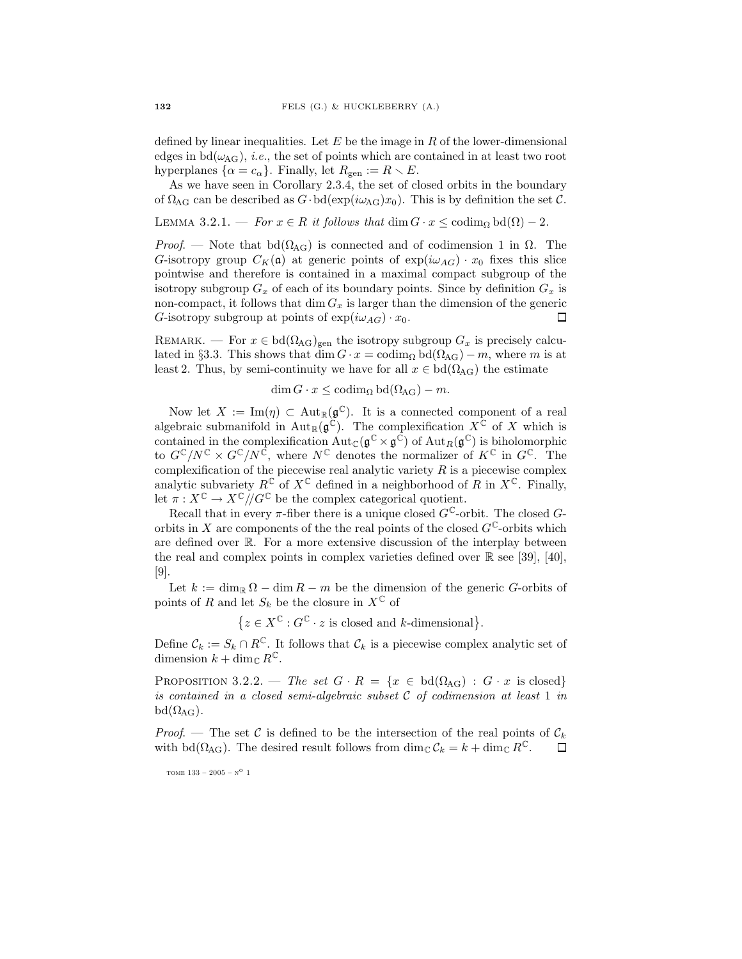defined by linear inequalities. Let  $E$  be the image in  $R$  of the lower-dimensional edges in bd( $\omega_{AG}$ ), *i.e.*, the set of points which are contained in at least two root hyperplanes  $\{\alpha = c_{\alpha}\}\$ . Finally, let  $R_{\text{gen}} := R \setminus E$ .

As we have seen in Corollary 2.3.4, the set of closed orbits in the boundary of  $\Omega_{\text{AG}}$  can be described as  $G \cdot \text{bd}(\exp(i\omega_{\text{AG}})x_0)$ . This is by definition the set  $\mathcal{C}$ .

LEMMA 3.2.1. — For  $x \in R$  it follows that  $\dim G \cdot x \leq \operatorname{codim}_{\Omega} \operatorname{bd}(\Omega) - 2$ .

Proof. — Note that bd( $\Omega_{\text{AG}}$ ) is connected and of codimension 1 in  $\Omega$ . The G-isotropy group  $C_K(\mathfrak{a})$  at generic points of  $\exp(i\omega_{AG}) \cdot x_0$  fixes this slice pointwise and therefore is contained in a maximal compact subgroup of the isotropy subgroup  $G_x$  of each of its boundary points. Since by definition  $G_x$  is non-compact, it follows that  $\dim G_x$  is larger than the dimension of the generic G-isotropy subgroup at points of  $\exp(i\omega_{AG}) \cdot x_0$ .  $\Box$ 

REMARK. — For  $x \in bd(\Omega_{AG})_{gen}$  the isotropy subgroup  $G_x$  is precisely calculated in §3.3. This shows that dim  $G \cdot x = \operatorname{codim}_{\Omega} \text{bd}(\Omega_{AG}) - m$ , where m is at least 2. Thus, by semi-continuity we have for all  $x \in \text{bd}(\Omega_{\text{AG}})$  the estimate

$$
\dim G \cdot x \leq \operatorname{codim}_{\Omega} \operatorname{bd}(\Omega_{\text{AG}}) - m.
$$

Now let  $X := \text{Im}(\eta) \subset \text{Aut}_{\mathbb{R}}(\mathfrak{g}^{\mathbb{C}})$ . It is a connected component of a real algebraic submanifold in Aut<sub>R</sub> $(g^{\tilde{C}})$ . The complexification  $X^{\tilde{C}}$  of X which is contained in the complexification  $Aut_{\mathbb{C}}(\mathfrak{g}^{\mathbb{C}} \times \mathfrak{g}^{\mathbb{C}})$  of  $Aut_R(\mathfrak{g}^{\mathbb{C}})$  is biholomorphic to  $G^{\mathbb{C}}/N^{\mathbb{C}} \times G^{\mathbb{C}}/N^{\mathbb{C}}$ , where  $N^{\mathbb{C}}$  denotes the normalizer of  $K^{\mathbb{C}}$  in  $G^{\mathbb{C}}$ . The complexification of the piecewise real analytic variety  $R$  is a piecewise complex analytic subvariety  $R^{\mathbb{C}}$  of  $X^{\mathbb{C}}$  defined in a neighborhood of R in  $X^{\mathbb{C}}$ . Finally, let  $\pi: X^{\mathbb{C}} \to X^{\mathbb{C}} / G^{\mathbb{C}}$  be the complex categorical quotient.

Recall that in every  $\pi$ -fiber there is a unique closed  $G^{\mathbb{C}}$ -orbit. The closed  $G$ orbits in X are components of the the real points of the closed  $G^{\mathbb{C}}$ -orbits which are defined over R. For a more extensive discussion of the interplay between the real and complex points in complex varieties defined over  $\mathbb R$  see [39], [40], [9].

Let  $k := \dim_{\mathbb{R}} \Omega - \dim R - m$  be the dimension of the generic G-orbits of points of R and let  $S_k$  be the closure in  $X^{\mathbb{C}}$  of

 $\{z \in X^{\mathbb{C}} : G^{\mathbb{C}} \cdot z \text{ is closed and } k\text{-dimensional}\}.$ 

Define  $C_k := S_k \cap R^{\mathbb{C}}$ . It follows that  $C_k$  is a piecewise complex analytic set of dimension  $k + \dim_{\mathbb{C}} R^{\mathbb{C}}$ .

PROPOSITION 3.2.2. — The set  $G \cdot R = \{x \in \text{bd}(\Omega_{AG}) : G \cdot x \text{ is closed}\}\$ is contained in a closed semi-algebraic subset  $C$  of codimension at least 1 in  $bd(\Omega_{AG})$ .

Proof. — The set C is defined to be the intersection of the real points of  $\mathcal{C}_k$ with bd( $\Omega_{\text{AG}}$ ). The desired result follows from  $\dim_{\mathbb{C}} C_k = k + \dim_{\mathbb{C}} R^{\mathbb{C}}$ .  $\Box$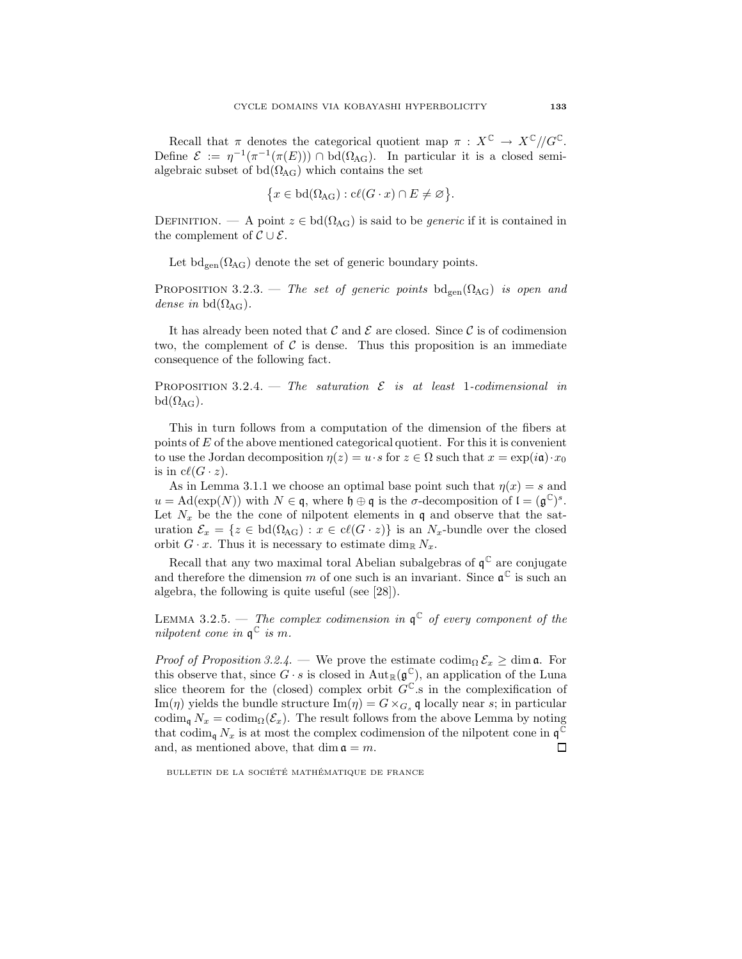Recall that  $\pi$  denotes the categorical quotient map  $\pi : X^{\mathbb{C}} \to X^{\mathbb{C}}$ // $G^{\mathbb{C}}$ . Define  $\mathcal{E} := \eta^{-1}(\pi^{-1}(\pi(E))) \cap \text{bd}(\Omega_{\text{AG}})$ . In particular it is a closed semialgebraic subset of  $bd(\Omega_{AG})$  which contains the set

$$
\{x \in \mathrm{bd}(\Omega_{\mathrm{AG}}): \mathrm{c}\ell(G \cdot x) \cap E \neq \varnothing\}.
$$

DEFINITION. — A point  $z \in bd(\Omega_{AG})$  is said to be *generic* if it is contained in the complement of  $\mathcal{C} \cup \mathcal{E}$ .

Let  $\mathrm{bd}_{\mathrm{gen}}(\Omega_{\mathrm{AG}})$  denote the set of generic boundary points.

PROPOSITION 3.2.3. — The set of generic points  $\text{bd}_{\text{gen}}(\Omega_{\text{AG}})$  is open and dense in bd $(\Omega_{\text{AG}})$ .

It has already been noted that  $\mathcal C$  and  $\mathcal E$  are closed. Since  $\mathcal C$  is of codimension two, the complement of  $\mathcal C$  is dense. Thus this proposition is an immediate consequence of the following fact.

PROPOSITION 3.2.4. — The saturation  $\mathcal E$  is at least 1-codimensional in  $bd(\Omega_{AG})$ .

This in turn follows from a computation of the dimension of the fibers at points of E of the above mentioned categorical quotient. For this it is convenient to use the Jordan decomposition  $\eta(z) = u \cdot s$  for  $z \in \Omega$  such that  $x = \exp(i\mathfrak{a}) \cdot x_0$ is in  $c\ell(G \cdot z)$ .

As in Lemma 3.1.1 we choose an optimal base point such that  $\eta(x) = s$  and  $u = \text{Ad}(\exp(N))$  with  $N \in \mathfrak{q}$ , where  $\mathfrak{h} \oplus \mathfrak{q}$  is the  $\sigma$ -decomposition of  $\mathfrak{l} = (\mathfrak{g}^{\mathbb{C}})^s$ . Let  $N_x$  be the the cone of nilpotent elements in q and observe that the saturation  $\mathcal{E}_x = \{z \in \text{bd}(\Omega_{\text{AG}}) : x \in \text{cl}(G \cdot z)\}\$ is an  $N_x$ -bundle over the closed orbit  $G \cdot x$ . Thus it is necessary to estimate dim<sub>R</sub>  $N_x$ .

Recall that any two maximal toral Abelian subalgebras of  $\mathfrak{q}^{\mathbb{C}}$  are conjugate and therefore the dimension m of one such is an invariant. Since  $\mathfrak{a}^{\mathbb{C}}$  is such an algebra, the following is quite useful (see [28]).

LEMMA 3.2.5. — The complex codimension in  $\mathfrak{q}^{\mathbb{C}}$  of every component of the nilpotent cone in  $\mathfrak{q}^{\mathbb{C}}$  is m.

*Proof of Proposition 3.2.4.* — We prove the estimate codim<sub> $\Omega$ </sub>  $\mathcal{E}_x \geq \dim \mathfrak{a}$ . For this observe that, since  $G \cdot s$  is closed in  $\text{Aut}_{\mathbb{R}}(\mathfrak{g}^{\mathbb{C}})$ , an application of the Luna slice theorem for the (closed) complex orbit  $G^{\mathbb{C}}$  is in the complexification of Im(*η*) yields the bundle structure Im(*η*) =  $G \times_{G_s} \mathfrak{q}$  locally near s; in particular codim<sub>q</sub>  $N_x = \text{codim}_{\Omega}(\mathcal{E}_x)$ . The result follows from the above Lemma by noting that codim<sub>q</sub>  $N_x$  is at most the complex codimension of the nilpotent cone in  $\mathfrak{q}^{\mathbb{C}}$ and, as mentioned above, that dim  $\mathfrak{a} = m$ . 口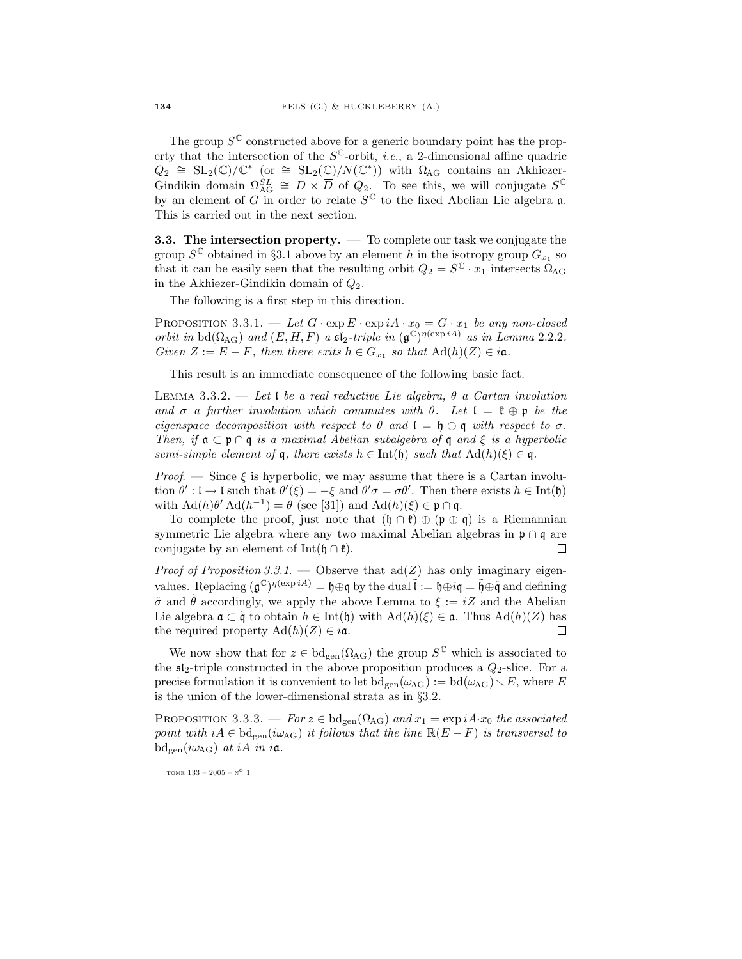The group  $S^{\mathbb{C}}$  constructed above for a generic boundary point has the property that the intersection of the  $S^{\mathbb{C}}$ -orbit, *i.e.*, a 2-dimensional affine quadric  $Q_2 \cong SL_2(\mathbb{C})/\mathbb{C}^*$  (or  $\cong SL_2(\mathbb{C})/N(\mathbb{C}^*)$ ) with  $\Omega_{\rm AG}$  contains an Akhiezer-Gindikin domain  $\Omega_{\text{AG}}^{SL} \cong D \times \overline{D}$  of  $Q_2$ . To see this, we will conjugate  $S^{\mathbb{C}}$ by an element of G in order to relate  $S^{\mathbb{C}}$  to the fixed Abelian Lie algebra  $\mathfrak{a}$ . This is carried out in the next section.

3.3. The intersection property. — To complete our task we conjugate the group  $S^{\mathbb{C}}$  obtained in §3.1 above by an element h in the isotropy group  $G_{x_1}$  so that it can be easily seen that the resulting orbit  $Q_2 = S^{\mathbb{C}} \cdot x_1$  intersects  $\Omega_{\text{AG}}$ in the Akhiezer-Gindikin domain of  $Q_2$ .

The following is a first step in this direction.

PROPOSITION 3.3.1. — Let  $G \cdot \exp E \cdot \exp iA \cdot x_0 = G \cdot x_1$  be any non-closed orbit in bd( $\Omega_{\text{AG}}$ ) and  $(E, H, F)$  a sl<sub>2</sub>-triple in  $(\mathfrak{g}^{\mathbb{C}})^{\eta(\exp{iA})}$  as in Lemma 2.2.2. Given  $Z := E - F$ , then there exits  $h \in G_{x_1}$  so that  $\text{Ad}(h)(Z) \in i\mathfrak{a}$ .

This result is an immediate consequence of the following basic fact.

LEMMA 3.3.2. — Let I be a real reductive Lie algebra,  $\theta$  a Cartan involution and  $\sigma$  a further involution which commutes with  $\theta$ . Let  $\mathfrak{l} = \mathfrak{k} \oplus \mathfrak{p}$  be the eigenspace decomposition with respect to  $\theta$  and  $\mathfrak{l} = \mathfrak{h} \oplus \mathfrak{q}$  with respect to  $\sigma$ . Then, if  $\mathfrak{a} \subset \mathfrak{p} \cap \mathfrak{q}$  is a maximal Abelian subalgebra of  $\mathfrak{q}$  and  $\xi$  is a hyperbolic semi-simple element of q, there exists  $h \in \text{Int}(\mathfrak{h})$  such that  $\text{Ad}(h)(\xi) \in \mathfrak{q}$ .

*Proof.* — Since  $\xi$  is hyperbolic, we may assume that there is a Cartan involution  $\theta': I \to I$  such that  $\theta'(\xi) = -\xi$  and  $\theta' \sigma = \sigma \theta'$ . Then there exists  $h \in \text{Int}(\mathfrak{h})$ with  $\operatorname{Ad}(h)\theta' \operatorname{Ad}(h^{-1}) = \theta$  (see [31]) and  $\operatorname{Ad}(h)(\xi) \in \mathfrak{p} \cap \mathfrak{q}$ .

To complete the proof, just note that  $(\mathfrak{h} \cap \mathfrak{k}) \oplus (\mathfrak{p} \oplus \mathfrak{q})$  is a Riemannian symmetric Lie algebra where any two maximal Abelian algebras in  $\mathfrak{p} \cap \mathfrak{q}$  are conjugate by an element of Int( $\mathfrak{h} \cap \mathfrak{k}$ ).  $\Box$ 

*Proof of Proposition 3.3.1.* — Observe that  $\text{ad}(Z)$  has only imaginary eigenvalues. Replacing  $(\mathfrak{g}^{\mathbb{C}})^{\eta(\exp{iA})} = \mathfrak{h} \oplus \mathfrak{q}$  by the dual  $\tilde{\mathfrak{l}} := \mathfrak{h} \oplus i\mathfrak{q} = \tilde{\mathfrak{h}} \oplus \tilde{\mathfrak{q}}$  and defining  $\tilde{\sigma}$  and  $\tilde{\theta}$  accordingly, we apply the above Lemma to  $\xi := iZ$  and the Abelian Lie algebra  $\mathfrak{a} \subset \tilde{\mathfrak{g}}$  to obtain  $h \in \text{Int}(\mathfrak{h})$  with  $\text{Ad}(h)(\xi) \in \mathfrak{a}$ . Thus  $\text{Ad}(h)(Z)$  has the required property  $\text{Ad}(h)(Z) \in i\mathfrak{a}$ .  $\Box$ 

We now show that for  $z \in \text{bd}_{\text{gen}}(\Omega_{\text{AG}})$  the group  $S^{\mathbb{C}}$  which is associated to the  $\mathfrak{sl}_2$ -triple constructed in the above proposition produces a  $Q_2$ -slice. For a precise formulation it is convenient to let  $\text{bd}_{\text{gen}}(\omega_{\text{AG}}):=\text{bd}(\omega_{\text{AG}})\setminus E$ , where E is the union of the lower-dimensional strata as in §3.2.

PROPOSITION 3.3.3. — For  $z \in \text{bd}_{\text{gen}}(\Omega_{\text{AG}})$  and  $x_1 = \exp i A \cdot x_0$  the associated point with  $iA \in \text{bd}_{gen}(i\omega_{AG})$  it follows that the line  $\mathbb{R}(E - F)$  is transversal to  $\mathrm{bd}_{\mathrm{gen}}(i\omega_{\mathrm{AG}})$  at iA in ia.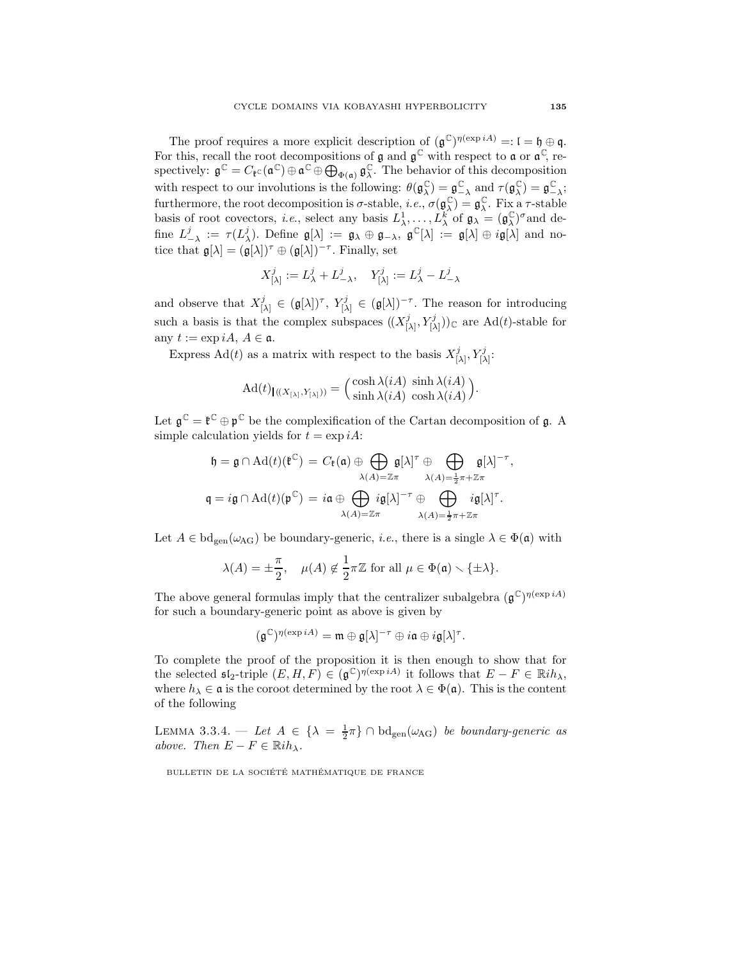The proof requires a more explicit description of  $(\mathfrak{g}^{\mathbb{C}})^{\eta(\exp{iA})} =: \mathfrak{l} = \mathfrak{h} \oplus \mathfrak{q}$ . For this, recall the root decompositions of  $\mathfrak g$  and  $\mathfrak g^{\mathbb C}$  with respect to  $\mathfrak a$  or  $\mathfrak a^{\mathbb C}$ , respectively:  $\mathfrak{g}^{\mathbb{C}} = C_{\mathfrak{k}^{\mathbb{C}}}(\mathfrak{a}^{\mathbb{C}}) \oplus \mathfrak{a}^{\mathbb{C}} \oplus \bigoplus_{\Phi(\mathfrak{a})} \mathfrak{g}_{\lambda}^{\mathbb{C}}$ . The behavior of this decomposition with respect to our involutions is the following:  $\theta(\mathfrak{g}_{\lambda}^{\mathbb{C}}) = \mathfrak{g}_{-\lambda}^{\mathbb{C}}$  and  $\tau(\mathfrak{g}_{\lambda}^{\mathbb{C}}) = \mathfrak{g}_{-\lambda}^{\mathbb{C}}$ ; furthermore, the root decomposition is  $\sigma$ -stable, *i.e.*,  $\sigma(\mathfrak{g}_{\lambda}^{\mathbb{C}}) = \mathfrak{g}_{\lambda}^{\mathbb{C}}$ . Fix a  $\tau$ -stable basis of root covectors, *i.e.*, select any basis  $L^1_\lambda, \ldots, L^k_\lambda$  of  $\mathfrak{g}_\lambda = (\mathfrak{g}^{\mathbb{C}}_\lambda)^\sigma$  and define  $L^j_{-\lambda} := \tau(L^j_{\lambda})$ . Define  $\mathfrak{g}[\lambda] := \mathfrak{g}_{\lambda} \oplus \mathfrak{g}_{-\lambda}$ ,  $\mathfrak{g}^{\mathbb{C}}[\lambda] := \mathfrak{g}[\lambda] \oplus i\mathfrak{g}[\lambda]$  and notice that  $\mathfrak{g}[\lambda] = (\mathfrak{g}[\lambda])^{\tau} \oplus (\mathfrak{g}[\lambda])^{-\tau}$ . Finally, set

$$
X^j_{[\lambda]} := L^j_{\lambda} + L^j_{-\lambda}, \quad Y^j_{[\lambda]} := L^j_{\lambda} - L^j_{-\lambda}
$$

and observe that  $X_i^j$  $[\lambda] \in (\mathfrak{g}[\lambda])^{\tau}, Y_{[\lambda]}^j$  $[\lambda] \in (\mathfrak{g}[\lambda])^{-\tau}$ . The reason for introducing such a basis is that the complex subspaces  $((X_i^j)$  $(\lambda_1, Y^j_{[\lambda]}))_{\mathbb{C}}$  are Ad(*t*)-stable for any  $t := \exp iA, A \in \mathfrak{a}.$ 

Express Ad(*t*) as a matrix with respect to the basis  $X_L^j$  $[\lambda]$ ,  $Y^j_{[\lambda]}$ :

$$
\mathrm{Ad}(t)_{\mathsf{I}((X_{[\lambda]},Y_{[\lambda]}))} = \left(\frac{\cosh \lambda(iA)}{\sinh \lambda(iA)} \frac{\sinh \lambda(iA)}{\cosh \lambda(iA)}\right).
$$

Let  $\mathfrak{g}^{\mathbb{C}} = \mathfrak{k}^{\mathbb{C}} \oplus \mathfrak{p}^{\mathbb{C}}$  be the complexification of the Cartan decomposition of  $\mathfrak{g}$ . A simple calculation yields for  $t = \exp iA$ :

$$
\mathfrak{h} = \mathfrak{g} \cap \mathrm{Ad}(t)(\mathfrak{k}^{\mathbb{C}}) = C_{\mathfrak{k}}(\mathfrak{a}) \oplus \bigoplus_{\lambda(A) = \mathbb{Z}\pi} \mathfrak{g}[\lambda]^{\tau} \oplus \bigoplus_{\lambda(A) = \frac{1}{2}\pi + \mathbb{Z}\pi} \mathfrak{g}[\lambda]^{-\tau},
$$

$$
\mathfrak{q} = i\mathfrak{g} \cap \mathrm{Ad}(t)(\mathfrak{p}^{\mathbb{C}}) = i\mathfrak{a} \oplus \bigoplus_{\lambda(A) = \mathbb{Z}\pi} i\mathfrak{g}[\lambda]^{\tau} \oplus \bigoplus_{\lambda(A) = \frac{1}{2}\pi + \mathbb{Z}\pi} i\mathfrak{g}[\lambda]^{\tau}.
$$

Let  $A \in \text{bd}_{\text{gen}}(\omega_{\text{AG}})$  be boundary-generic, *i.e.*, there is a single  $\lambda \in \Phi(\mathfrak{a})$  with

$$
\lambda(A) = \pm \frac{\pi}{2}, \quad \mu(A) \notin \frac{1}{2}\pi \mathbb{Z} \text{ for all } \mu \in \Phi(\mathfrak{a}) \setminus \{\pm \lambda\}.
$$

The above general formulas imply that the centralizer subalgebra  $(\mathfrak{g}^{\mathbb{C}})^{\eta(\exp iA)}$ for such a boundary-generic point as above is given by

$$
(\mathfrak{g}^{\mathbb{C}})^{\eta(\exp{iA})}=\mathfrak{m}\oplus \mathfrak{g}[\lambda]^{-\tau}\oplus i\mathfrak{a}\oplus i\mathfrak{g}[\lambda]^{\tau}.
$$

To complete the proof of the proposition it is then enough to show that for the selected  $\mathfrak{sl}_2$ -triple  $(E, H, F) \in (\mathfrak{g}^{\mathbb{C}})^{\eta(\exp{iA})}$  it follows that  $E - F \in \mathbb{R}i\hbar_{\lambda}$ , where  $h_{\lambda} \in \mathfrak{a}$  is the coroot determined by the root  $\lambda \in \Phi(\mathfrak{a})$ . This is the content of the following

LEMMA 3.3.4. — Let  $A \in {\{\lambda = \frac{1}{2}\pi\}} \cap \text{bd}_{\text{gen}}(\omega_{\text{AG}})$  be boundary-generic as above. Then  $E - F \in \mathbb{R}$ ih<sub> $\lambda$ </sub>.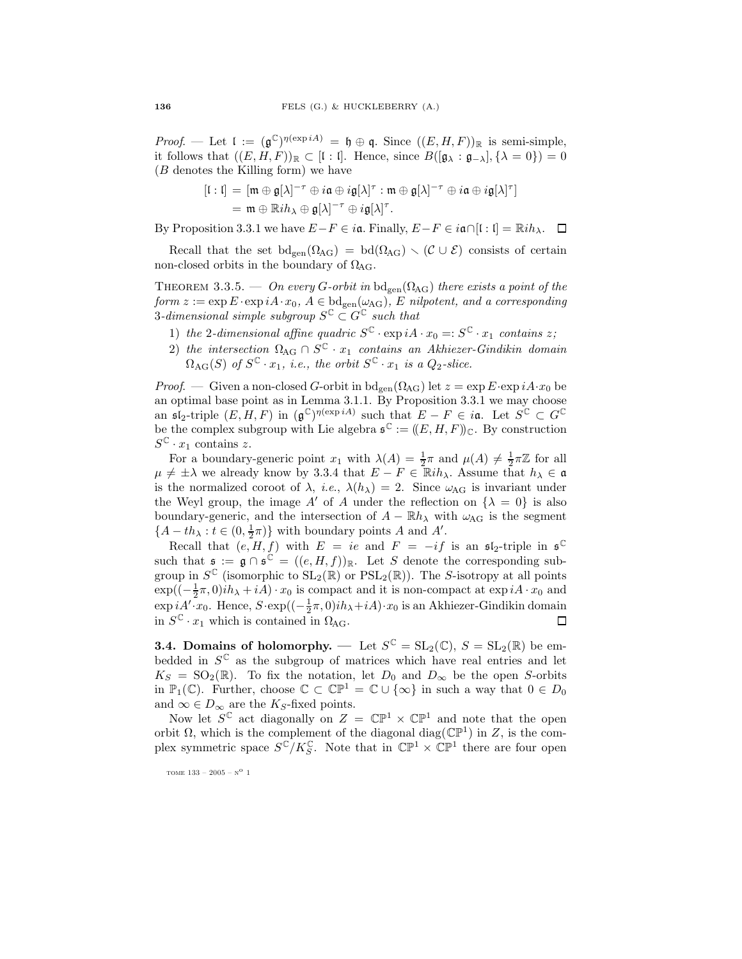*Proof.* — Let  $\mathfrak{l} := (\mathfrak{g}^{\mathbb{C}})^{\eta(\exp{iA})} = \mathfrak{h} \oplus \mathfrak{q}$ . Since  $((E, H, F))_{\mathbb{R}}$  is semi-simple, it follows that  $((E, H, F))_{\mathbb{R}} \subset [I : I]$ . Hence, since  $B([\mathfrak{g}_{\lambda} : \mathfrak{g}_{-\lambda}], {\lambda = 0}) = 0$ (B denotes the Killing form) we have

$$
[I : I] = [\mathfrak{m} \oplus \mathfrak{g}[\lambda]^{-\tau} \oplus i\mathfrak{a} \oplus i\mathfrak{g}[\lambda]^{\tau} : \mathfrak{m} \oplus \mathfrak{g}[\lambda]^{-\tau} \oplus i\mathfrak{a} \oplus i\mathfrak{g}[\lambda]^{\tau}]
$$
  
= 
$$
\mathfrak{m} \oplus \mathbb{R}i\hbar_{\lambda} \oplus \mathfrak{g}[\lambda]^{-\tau} \oplus i\mathfrak{g}[\lambda]^{\tau}.
$$

By Proposition 3.3.1 we have  $E-F \in i\mathfrak{a}$ . Finally,  $E-F \in i\mathfrak{a} \cap [1:1] = \mathbb{R}i h_\lambda$ .  $\Box$ 

Recall that the set  $bd_{gen}(\Omega_{AG}) = bd(\Omega_{AG}) \setminus (\mathcal{C} \cup \mathcal{E})$  consists of certain non-closed orbits in the boundary of  $\Omega_{\text{AG}}$ .

THEOREM 3.3.5. — On every G-orbit in  $bd_{gen}(\Omega_{AG})$  there exists a point of the form  $z := \exp E \cdot \exp i A \cdot x_0$ ,  $A \in \text{bd}_{gen}(\omega_{AG})$ , E nilpotent, and a corresponding  $3\text{-}dimensional\ simple\ subgroup\ S^{\mathbb{C}}\subset G^{\mathbb{C}}\ such\ that$ 

- 1) the 2-dimensional affine quadric  $S^{\mathbb{C}} \cdot \exp iA \cdot x_0 =: S^{\mathbb{C}} \cdot x_1$  contains z;
- 2) the intersection  $\Omega_{\text{AG}} \cap S^{\mathbb{C}} \cdot x_1$  contains an Akhiezer-Gindikin domain  $\Omega_{\rm AG}(S)$  of  $S^{\mathbb{C}} \cdot x_1$ , i.e., the orbit  $S^{\mathbb{C}} \cdot x_1$  is a  $Q_2$ -slice.

*Proof.* — Given a non-closed G-orbit in  $\text{bd}_{\text{gen}}(\Omega_{\text{AG}})$  let  $z = \exp E \cdot \exp i A \cdot x_0$  be an optimal base point as in Lemma 3.1.1. By Proposition 3.3.1 we may choose an  $\mathfrak{sl}_2$ -triple  $(E, H, F)$  in  $(\mathfrak{g}^{\mathbb{C}})^{\eta(\exp{iA})}$  such that  $E - F \in i\mathfrak{a}$ . Let  $S^{\mathbb{C}} \subset G^{\mathbb{C}}$ be the complex subgroup with Lie algebra  $\mathfrak{s}^{\mathbb{C}} := ((E, H, F))_{\mathbb{C}}$ . By construction  $S^{\mathbb{C}} \cdot x_1$  contains z.

For a boundary-generic point  $x_1$  with  $\lambda(A) = \frac{1}{2}\pi$  and  $\mu(A) \neq \frac{1}{2}\pi\mathbb{Z}$  for all  $\mu \neq \pm \lambda$  we already know by 3.3.4 that  $E - F \in \mathbb{R}$ ih<sub> $\lambda$ </sub>. Assume that  $h_{\lambda} \in \mathfrak{a}$ is the normalized coroot of  $\lambda$ , *i.e.*,  $\lambda(h_\lambda) = 2$ . Since  $\omega_{AG}$  is invariant under the Weyl group, the image A' of A under the reflection on  $\{\lambda = 0\}$  is also boundary-generic, and the intersection of  $A - \mathbb{R}h_{\lambda}$  with  $\omega_{\text{AG}}$  is the segment  $\{A - th_{\lambda} : t \in (0, \frac{1}{2}\pi)\}\$  with boundary points A and A'.

Recall that  $(e, H, f)$  with  $E = ie$  and  $F = -if$  is an  $\mathfrak{sl}_2$ -triple in  $\mathfrak{s}^{\mathbb{C}}$ such that  $\mathfrak{s} := \mathfrak{g} \cap \mathfrak{s}^{\mathbb{C}} = ((e, H, f))_{\mathbb{R}}$ . Let S denote the corresponding subgroup in  $S^{\mathbb{C}}$  (isomorphic to  $SL_2(\mathbb{R})$  or  $PSL_2(\mathbb{R})$ ). The S-isotropy at all points  $\exp((-\frac{1}{2}\pi,0)i\hbar_{\lambda}+iA)\cdot x_0$  is compact and it is non-compact at  $\exp(iA\cdot x_0$  and  $\exp iA' \cdot x_0$ . Hence,  $S \cdot \exp((-\frac{1}{2}\pi, 0)ih_{\lambda} + iA) \cdot x_0$  is an Akhiezer-Gindikin domain in  $S^{\mathbb{C}} \cdot x_1$  which is contained in  $\Omega_{\text{AG}}$ .  $\Box$ 

**3.4.** Domains of holomorphy. — Let  $S^{\mathbb{C}} = SL_2(\mathbb{C}), S = SL_2(\mathbb{R})$  be embedded in  $S^{\mathbb{C}}$  as the subgroup of matrices which have real entries and let  $K_S = SO_2(\mathbb{R})$ . To fix the notation, let  $D_0$  and  $D_{\infty}$  be the open S-orbits in  $\mathbb{P}_1(\mathbb{C})$ . Further, choose  $\mathbb{C} \subset \mathbb{CP}^1 = \mathbb{C} \cup \{\infty\}$  in such a way that  $0 \in D_0$ and  $\infty \in D_{\infty}$  are the K<sub>S</sub>-fixed points.

Now let  $S^{\mathbb{C}}$  act diagonally on  $Z = \mathbb{CP}^1 \times \mathbb{CP}^1$  and note that the open orbit  $\Omega$ , which is the complement of the diagonal diag( $\mathbb{CP}^1$ ) in Z, is the complex symmetric space  $S^{\mathbb{C}}/K_S^{\mathbb{C}}$ . Note that in  $\mathbb{CP}^1 \times \mathbb{CP}^1$  there are four open

tome 133 – 2005 –  $\mathrm{N}^\mathrm{O}$  1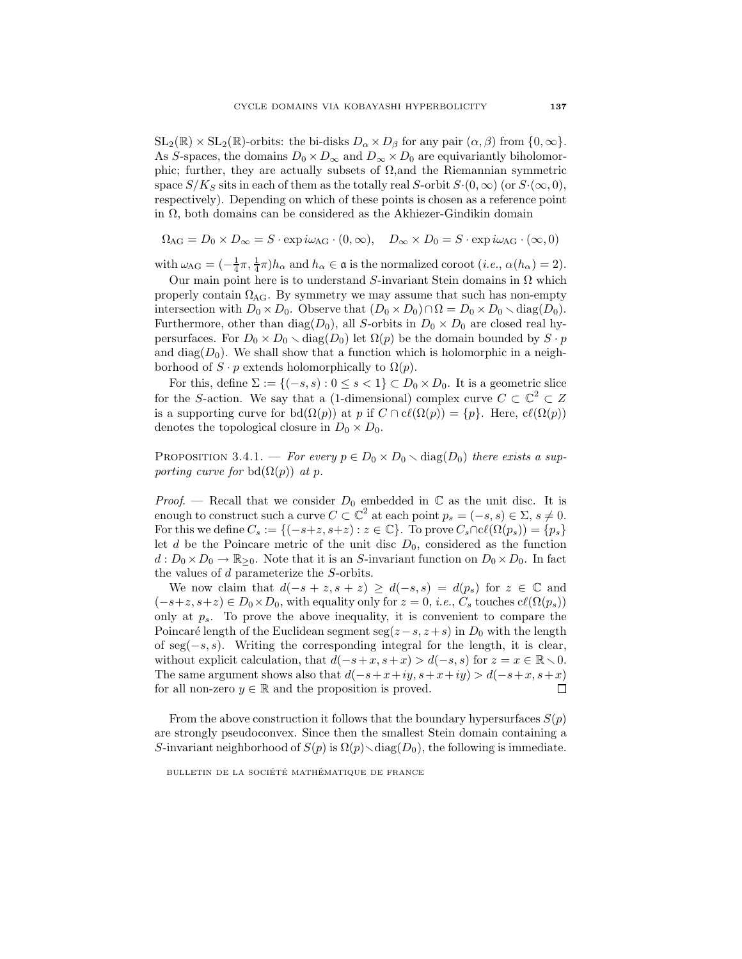$SL_2(\mathbb{R}) \times SL_2(\mathbb{R})$ -orbits: the bi-disks  $D_\alpha \times D_\beta$  for any pair  $(\alpha, \beta)$  from  $\{0, \infty\}$ . As S-spaces, the domains  $D_0 \times D_\infty$  and  $D_\infty \times D_0$  are equivariantly biholomorphic; further, they are actually subsets of  $\Omega$ , and the Riemannian symmetric space  $S/K_S$  sits in each of them as the totally real S-orbit  $S·(0, \infty)$  (or  $S·(\infty, 0)$ , respectively). Depending on which of these points is chosen as a reference point in  $\Omega$ , both domains can be considered as the Akhiezer-Gindikin domain

$$
\Omega_{\text{AG}} = D_0 \times D_{\infty} = S \cdot \exp(i\omega_{\text{AG}} \cdot (0, \infty)), \quad D_{\infty} \times D_0 = S \cdot \exp(i\omega_{\text{AG}} \cdot (\infty, 0))
$$

with  $\omega_{AG} = \left(-\frac{1}{4}\pi, \frac{1}{4}\pi\right)h_\alpha$  and  $h_\alpha \in \mathfrak{a}$  is the normalized coroot  $(i.e., \alpha(h_\alpha) = 2)$ .

Our main point here is to understand S-invariant Stein domains in  $\Omega$  which properly contain  $\Omega_{\text{AG}}$ . By symmetry we may assume that such has non-empty intersection with  $D_0 \times D_0$ . Observe that  $(D_0 \times D_0) \cap \Omega = D_0 \times D_0 \setminus \text{diag}(D_0)$ . Furthermore, other than diag( $D_0$ ), all S-orbits in  $D_0 \times D_0$  are closed real hypersurfaces. For  $D_0 \times D_0 \setminus diag(D_0)$  let  $\Omega(p)$  be the domain bounded by  $S \cdot p$ and  $diag(D_0)$ . We shall show that a function which is holomorphic in a neighborhood of  $S \cdot p$  extends holomorphically to  $\Omega(p)$ .

For this, define  $\Sigma := \{(-s, s) : 0 \le s < 1\} \subset D_0 \times D_0$ . It is a geometric slice for the S-action. We say that a (1-dimensional) complex curve  $C \subset \mathbb{C}^2 \subset Z$ is a supporting curve for bd $(\Omega(p))$  at p if  $C \cap cl(\Omega(p)) = \{p\}$ . Here,  $cl(\Omega(p))$ denotes the topological closure in  $D_0 \times D_0$ .

PROPOSITION 3.4.1. — For every  $p \in D_0 \times D_0 \setminus diag(D_0)$  there exists a supporting curve for bd $(\Omega(p))$  at p.

*Proof.* — Recall that we consider  $D_0$  embedded in  $\mathbb C$  as the unit disc. It is enough to construct such a curve  $C \subset \mathbb{C}^2$  at each point  $p_s = (-s, s) \in \Sigma$ ,  $s \neq 0$ . For this we define  $C_s := \{(-s+z, s+z) : z \in \mathbb{C}\}\)$ . To prove  $C_s \cap cl(\Omega(p_s)) = \{p_s\}$ let d be the Poincare metric of the unit disc  $D_0$ , considered as the function  $d: D_0 \times D_0 \to \mathbb{R}_{\geq 0}$ . Note that it is an S-invariant function on  $D_0 \times D_0$ . In fact the values of d parameterize the S-orbits.

We now claim that  $d(-s + z, s + z) \geq d(-s, s) = d(p_s)$  for  $z \in \mathbb{C}$  and  $(-s+z, s+z) \in D_0 \times D_0$ , with equality only for  $z = 0$ , *i.e.*,  $C_s$  touches  $c\ell(\Omega(p_s))$ only at  $p_s$ . To prove the above inequality, it is convenient to compare the Poincaré length of the Euclidean segment seg( $z-s$ ,  $z+s$ ) in  $D_0$  with the length of seg(−s, s). Writing the corresponding integral for the length, it is clear, without explicit calculation, that  $d(-s+x, s+x) > d(-s, s)$  for  $z = x \in \mathbb{R} \setminus 0$ . The same argument shows also that  $d(-s+x+iy, s+x+iy) > d(-s+x, s+x)$ for all non-zero  $y \in \mathbb{R}$  and the proposition is proved.  $\Box$ 

From the above construction it follows that the boundary hypersurfaces  $S(p)$ are strongly pseudoconvex. Since then the smallest Stein domain containing a S-invariant neighborhood of  $S(p)$  is  $\Omega(p) \setminus diag(D_0)$ , the following is immediate.

BULLETIN DE LA SOCIÉTÉ MATHÉMATIQUE DE FRANCE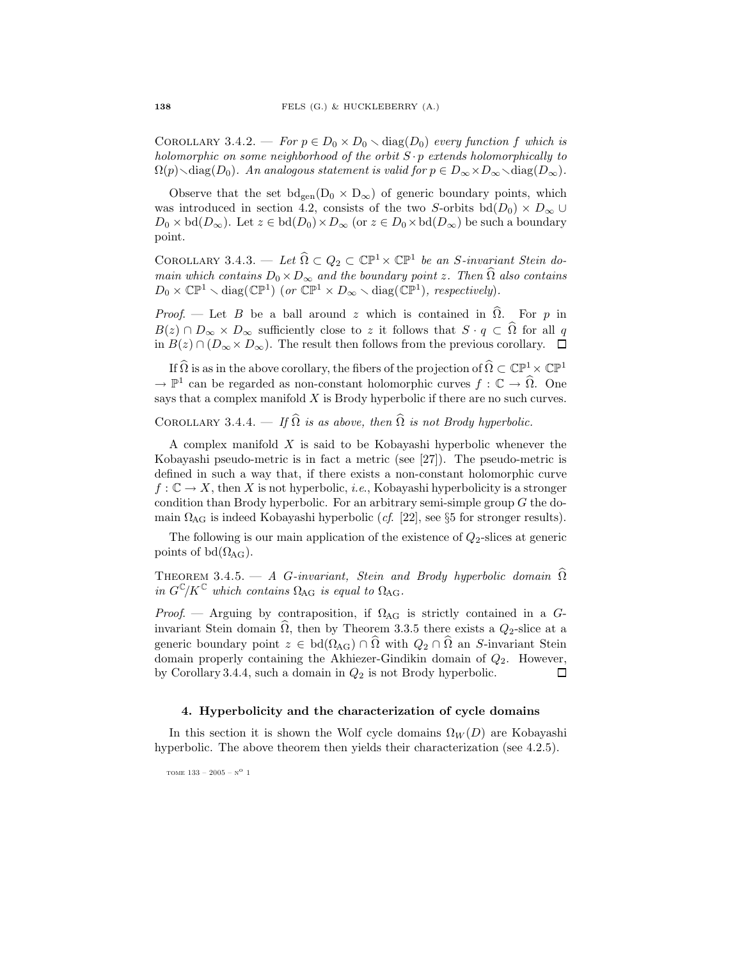COROLLARY 3.4.2. — For  $p \in D_0 \times D_0 \setminus diag(D_0)$  every function f which is holomorphic on some neighborhood of the orbit  $S \cdot p$  extends holomorphically to  $\Omega(p)$  $\diagup$ diag $(D_0)$ . An analogous statement is valid for  $p \in D_\infty \times D_\infty \diagdown$ diag $(D_\infty)$ .

Observe that the set  $bd_{gen}(D_0 \times D_{\infty})$  of generic boundary points, which was introduced in section 4.2, consists of the two S-orbits bd( $D_0$ ) ×  $D_{\infty}$  ∪  $D_0 \times \text{bd}(D_{\infty})$ . Let  $z \in \text{bd}(D_0) \times D_{\infty}$  (or  $z \in D_0 \times \text{bd}(D_{\infty})$ ) be such a boundary point.

COROLLARY 3.4.3. — Let  $\widehat{\Omega} \subset Q_2 \subset \mathbb{CP}^1 \times \mathbb{CP}^1$  be an S-invariant Stein domain which contains  $D_0 \times D_{\infty}$  and the boundary point z. Then  $\Omega$  also contains  $D_0 \times \mathbb{CP}^1 \setminus \text{diag}(\mathbb{CP}^1)$  (or  $\mathbb{CP}^1 \times D_\infty \setminus \text{diag}(\mathbb{CP}^1)$ , respectively).

*Proof.* — Let B be a ball around z which is contained in  $\hat{\Omega}$ . For p in  $B(z) \cap D_{\infty} \times D_{\infty}$  sufficiently close to z it follows that  $S \cdot q \subset \Omega$  for all q in  $B(z) \cap (D_{\infty} \times D_{\infty})$ . The result then follows from the previous corollary. □

If  $\widehat{\Omega}$  is as in the above corollary, the fibers of the projection of  $\widehat{\Omega}\subset\mathbb{CP}^1\times\mathbb{CP}^1$  $\to \mathbb{P}^1$  can be regarded as non-constant holomorphic curves  $f : \mathbb{C} \to \widehat{\Omega}$ . One says that a complex manifold  $X$  is Brody hyperbolic if there are no such curves.

COROLLARY 3.4.4. — If  $\widehat{\Omega}$  is as above, then  $\widehat{\Omega}$  is not Brody hyperbolic.

A complex manifold  $X$  is said to be Kobayashi hyperbolic whenever the Kobayashi pseudo-metric is in fact a metric (see [27]). The pseudo-metric is defined in such a way that, if there exists a non-constant holomorphic curve  $f: \mathbb{C} \to X$ , then X is not hyperbolic, *i.e.*, Kobayashi hyperbolicity is a stronger condition than Brody hyperbolic. For an arbitrary semi-simple group  $G$  the domain  $\Omega_{\text{AG}}$  is indeed Kobayashi hyperbolic (*cf.* [22], see §5 for stronger results).

The following is our main application of the existence of  $Q_2$ -slices at generic points of bd $(\Omega_{\text{AG}})$ .

THEOREM 3.4.5. — A G-invariant, Stein and Brody hyperbolic domain  $\hat{\Omega}$ in  $G^{\mathbb{C}}/K^{\mathbb{C}}$  which contains  $\Omega_{\text{AG}}$  is equal to  $\Omega_{\text{AG}}$ .

Proof. — Arguing by contraposition, if  $\Omega_{\rm AG}$  is strictly contained in a Ginvariant Stein domain  $\Omega$ , then by Theorem 3.3.5 there exists a  $Q_2$ -slice at a generic boundary point  $z \in \text{bd}(\Omega_{\text{AG}}) \cap \Omega$  with  $Q_2 \cap \Omega$  an S-invariant Stein domain properly containing the Akhiezer-Gindikin domain of  $Q_2$ . However, by Corollary 3.4.4, such a domain in  $Q_2$  is not Brody hyperbolic.  $\Box$ 

#### 4. Hyperbolicity and the characterization of cycle domains

In this section it is shown the Wolf cycle domains  $\Omega_W(D)$  are Kobayashi hyperbolic. The above theorem then yields their characterization (see 4.2.5).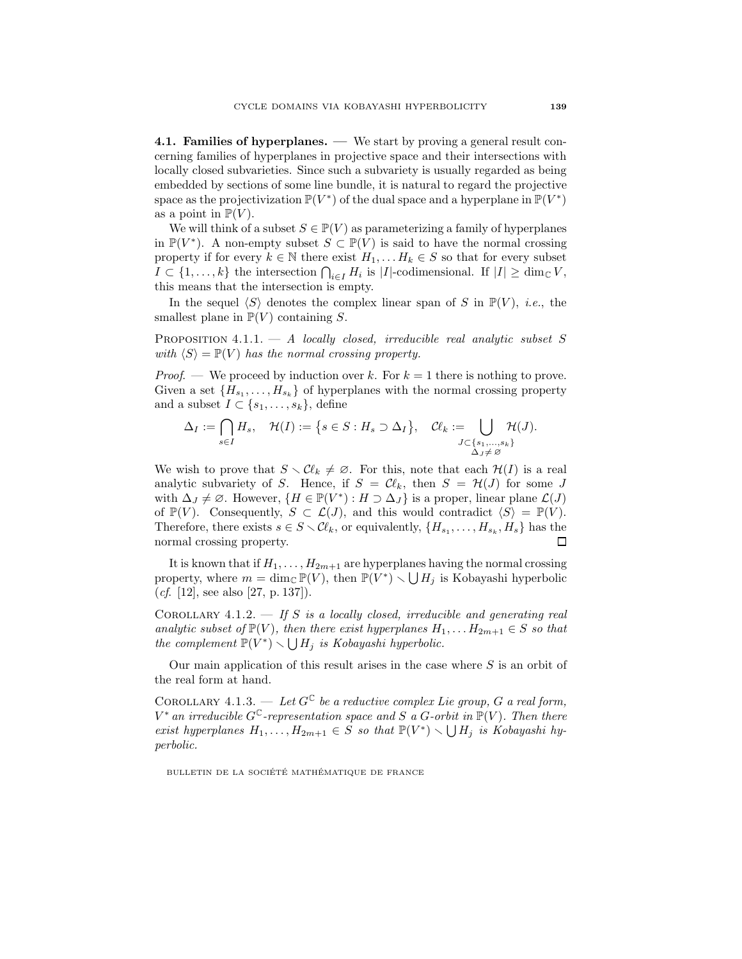4.1. Families of hyperplanes. — We start by proving a general result concerning families of hyperplanes in projective space and their intersections with locally closed subvarieties. Since such a subvariety is usually regarded as being embedded by sections of some line bundle, it is natural to regard the projective space as the projectivization  $\mathbb{P}(V^*)$  of the dual space and a hyperplane in  $\mathbb{P}(V^*)$ as a point in  $\mathbb{P}(V)$ .

We will think of a subset  $S \in \mathbb{P}(V)$  as parameterizing a family of hyperplanes in  $\mathbb{P}(V^*)$ . A non-empty subset  $S \subset \mathbb{P}(V)$  is said to have the normal crossing property if for every  $k \in \mathbb{N}$  there exist  $H_1, \ldots H_k \in S$  so that for every subset  $I \subset \{1,\ldots,k\}$  the intersection  $\bigcap_{i\in I} H_i$  is |I|-codimensional. If  $|I| \geq \dim_{\mathbb{C}} V$ , this means that the intersection is empty.

In the sequel  $\langle S \rangle$  denotes the complex linear span of S in  $\mathbb{P}(V)$ , i.e., the smallest plane in  $\mathbb{P}(V)$  containing S.

PROPOSITION  $4.1.1. - A$  locally closed, irreducible real analytic subset S with  $\langle S \rangle = \mathbb{P}(V)$  has the normal crossing property.

*Proof.* — We proceed by induction over k. For  $k = 1$  there is nothing to prove. Given a set  ${H_{s_1}, \ldots, H_{s_k}}$  of hyperplanes with the normal crossing property and a subset  $I \subset \{s_1, \ldots, s_k\}$ , define

$$
\Delta_I := \bigcap_{s \in I} H_s, \quad \mathcal{H}(I) := \left\{ s \in S : H_s \supset \Delta_I \right\}, \quad \mathcal{C}\ell_k := \bigcup_{\substack{J \subset \{s_1, \ldots, s_k\} \\ \Delta_J \neq \varnothing}} \mathcal{H}(J).
$$

We wish to prove that  $S \setminus \mathcal{C}\ell_k \neq \emptyset$ . For this, note that each  $\mathcal{H}(I)$  is a real analytic subvariety of S. Hence, if  $S = \mathcal{C}\ell_k$ , then  $S = \mathcal{H}(J)$  for some J with  $\Delta_J \neq \emptyset$ . However,  $\{H \in \mathbb{P}(V^*) : H \supset \Delta_J\}$  is a proper, linear plane  $\mathcal{L}(J)$ of  $\mathbb{P}(V)$ . Consequently,  $S \subset \mathcal{L}(J)$ , and this would contradict  $\langle S \rangle = \mathbb{P}(V)$ . Therefore, there exists  $s \in S \setminus \mathcal{C}\ell_k$ , or equivalently,  $\{H_{s_1}, \ldots, H_{s_k}, H_s\}$  has the normal crossing property.  $\Box$ 

It is known that if  $H_1, \ldots, H_{2m+1}$  are hyperplanes having the normal crossing property, where  $m = \dim_{\mathbb{C}} \mathbb{P}(V)$ , then  $\mathbb{P}(V^*) \setminus \bigcup H_j$  is Kobayashi hyperbolic (*cf.* [12], see also [27, p. 137]).

COROLLARY 4.1.2.  $\overline{\phantom{a}}$  of  $S$  is a locally closed, irreducible and generating real analytic subset of  $\mathbb{P}(V)$ , then there exist hyperplanes  $H_1, \ldots H_{2m+1} \in S$  so that the complement  $\mathbb{P}(V^*) \setminus \bigcup H_j$  is Kobayashi hyperbolic.

Our main application of this result arises in the case where  $S$  is an orbit of the real form at hand.

COROLLARY 4.1.3. — Let  $G^{\mathbb{C}}$  be a reductive complex Lie group, G a real form,  $V^*$  an irreducible  $G^{\mathbb{C}}$ -representation space and S a G-orbit in  $\mathbb{P}(V)$ . Then there exist hyperplanes  $H_1, \ldots, H_{2m+1} \in S$  so that  $\mathbb{P}(V^*) \setminus \bigcup H_j$  is Kobayashi hyperbolic.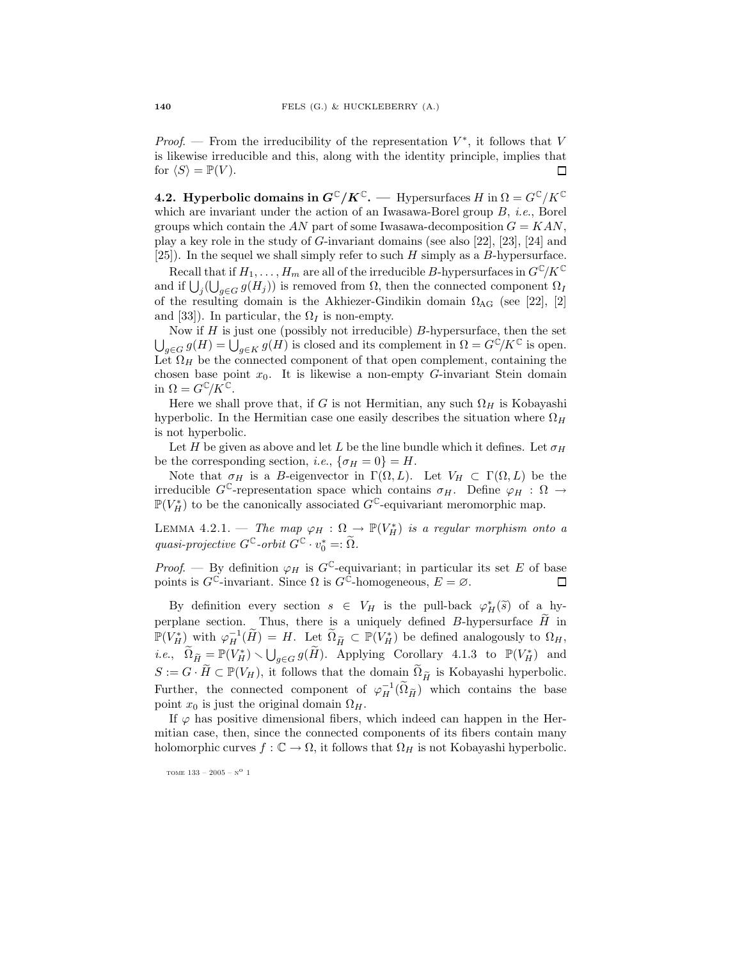*Proof.* — From the irreducibility of the representation  $V^*$ , it follows that V is likewise irreducible and this, along with the identity principle, implies that for  $\langle S \rangle = \mathbb{P}(V)$ . 口

**4.2. Hyperbolic domains in**  $G^{\mathbb{C}}/K^{\mathbb{C}}$ **.** — Hypersurfaces H in  $\Omega = G^{\mathbb{C}}/K^{\mathbb{C}}$ which are invariant under the action of an Iwasawa-Borel group  $B$ , *i.e.*, Borel groups which contain the AN part of some Iwasawa-decomposition  $G = KAN$ , play a key role in the study of G-invariant domains (see also [22], [23], [24] and [25]). In the sequel we shall simply refer to such  $H$  simply as a  $B$ -hypersurface.

Recall that if  $H_1, \ldots, H_m$  are all of the irreducible B-hypersurfaces in  $G^{\mathbb{C}}/K^{\mathbb{C}}$ and if  $\bigcup_j (\bigcup_{g \in G} g(H_j))$  is removed from  $\Omega$ , then the connected component  $\Omega_I$ of the resulting domain is the Akhiezer-Gindikin domain  $\Omega_{\rm AG}$  (see [22], [2] and [33]). In particular, the  $\Omega_I$  is non-empty.

Now if  $H$  is just one (possibly not irreducible)  $B$ -hypersurface, then the set  $\bigcup_{g\in G} g(H) = \bigcup_{g\in K} g(H)$  is closed and its complement in  $\Omega = G^{\mathbb{C}}/K^{\mathbb{C}}$  is open. Let  $\Omega_H$  be the connected component of that open complement, containing the chosen base point  $x_0$ . It is likewise a non-empty G-invariant Stein domain in  $\Omega = G^{\mathbb{C}}/K^{\mathbb{C}}$ .

Here we shall prove that, if G is not Hermitian, any such  $\Omega_H$  is Kobayashi hyperbolic. In the Hermitian case one easily describes the situation where  $\Omega_H$ is not hyperbolic.

Let H be given as above and let L be the line bundle which it defines. Let  $\sigma_H$ be the corresponding section, *i.e.*,  $\{\sigma_H = 0\} = H$ .

Note that  $\sigma_H$  is a B-eigenvector in  $\Gamma(\Omega, L)$ . Let  $V_H \subset \Gamma(\Omega, L)$  be the irreducible  $G^{\mathbb{C}}$ -representation space which contains  $\sigma_H$ . Define  $\varphi_H : \Omega \to$  $\mathbb{P}(V_H^*)$  to be the canonically associated  $G^{\mathbb{C}}$ -equivariant meromorphic map.

LEMMA 4.2.1. — The map  $\varphi_H : \Omega \to \mathbb{P}(V_H^*)$  is a regular morphism onto a quasi-projective  $G^{\mathbb{C}}$ -orbit  $G^{\mathbb{C}} \cdot v_0^* =: \tilde{\Omega}$ .

*Proof.* — By definition  $\varphi_H$  is  $G^{\mathbb{C}}$ -equivariant; in particular its set E of base points is  $G^{\mathbb{C}}$ -invariant. Since  $\Omega$  is  $G^{\mathbb{C}}$ -homogeneous,  $E = \emptyset$ .  $\Box$ 

By definition every section  $s \in V_H$  is the pull-back  $\varphi^*_H(\tilde{s})$  of a hyperplane section. Thus, there is a uniquely defined B-hypersurface  $\tilde{H}$  in  $\mathbb{P}(V_H^*)$  with  $\varphi_H^{-1}(\widetilde{H}) = H$ . Let  $\widetilde{\Omega}_{\widetilde{H}} \subset \mathbb{P}(V_H^*)$  be defined analogously to  $\Omega_H$ , *i.e.*,  $\widetilde{\Omega}_{\widetilde{H}} = \mathbb{P}(V_H^*) \setminus \bigcup_{g \in G} g(\widetilde{H})$ . Applying Corollary 4.1.3 to  $\mathbb{P}(V_H^*)$  and  $S := G \cdot \widetilde{H} \subset \mathbb{P}(V_H)$ , it follows that the domain  $\widetilde{\Omega}_{\widetilde{H}}$  is Kobayashi hyperbolic. Further, the connected component of  $\varphi_H^{-1}(\tilde{\Omega}_{\tilde{H}})$  which contains the base point  $x_0$  is just the original domain  $\Omega_H$ .

If  $\varphi$  has positive dimensional fibers, which indeed can happen in the Hermitian case, then, since the connected components of its fibers contain many holomorphic curves  $f : \mathbb{C} \to \Omega$ , it follows that  $\Omega_H$  is not Kobayashi hyperbolic.

tome 133 – 2005 –  $\mathrm{N}^\mathrm{O}$  1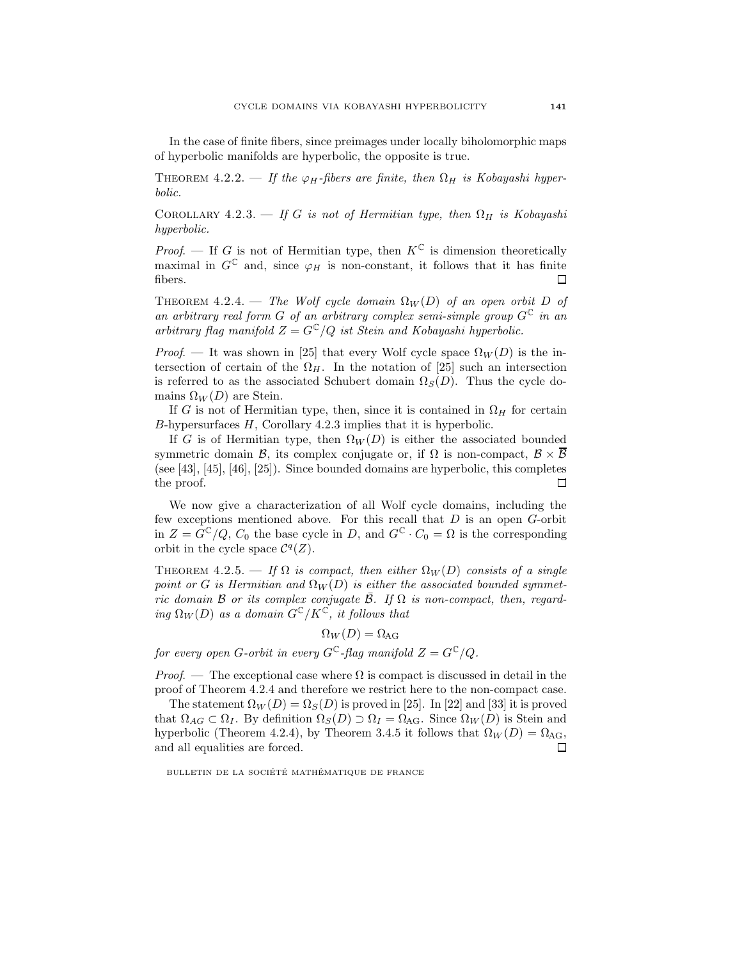In the case of finite fibers, since preimages under locally biholomorphic maps of hyperbolic manifolds are hyperbolic, the opposite is true.

THEOREM 4.2.2. — If the  $\varphi_H$ -fibers are finite, then  $\Omega_H$  is Kobayashi hyperbolic.

COROLLARY 4.2.3. — If G is not of Hermitian type, then  $\Omega_H$  is Kobayashi hyperbolic.

*Proof.* — If G is not of Hermitian type, then  $K^{\mathbb{C}}$  is dimension theoretically maximal in  $G^{\mathbb{C}}$  and, since  $\varphi_H$  is non-constant, it follows that it has finite fibers.  $\Box$ 

THEOREM 4.2.4. — The Wolf cycle domain  $\Omega_W(D)$  of an open orbit D of an arbitrary real form G of an arbitrary complex semi-simple group  $G^{\mathbb{C}}$  in an arbitrary flag manifold  $Z = G^{\mathbb{C}}/Q$  ist Stein and Kobayashi hyperbolic.

*Proof.* — It was shown in [25] that every Wolf cycle space  $\Omega_W(D)$  is the intersection of certain of the  $\Omega_H$ . In the notation of [25] such an intersection is referred to as the associated Schubert domain  $\Omega<sub>S</sub>(D)$ . Thus the cycle domains  $\Omega_W(D)$  are Stein.

If G is not of Hermitian type, then, since it is contained in  $\Omega_H$  for certain B-hypersurfaces H, Corollary 4.2.3 implies that it is hyperbolic.

If G is of Hermitian type, then  $\Omega_W(D)$  is either the associated bounded symmetric domain B, its complex conjugate or, if  $\Omega$  is non-compact,  $\mathcal{B} \times \mathcal{B}$ (see [43], [45], [46], [25]). Since bounded domains are hyperbolic, this completes the proof.  $\Box$ 

We now give a characterization of all Wolf cycle domains, including the few exceptions mentioned above. For this recall that  $D$  is an open  $G$ -orbit in  $Z = G^{\mathbb{C}}/Q$ ,  $C_0$  the base cycle in D, and  $G^{\mathbb{C}} \cdot C_0 = \Omega$  is the corresponding orbit in the cycle space  $\mathcal{C}^q(Z)$ .

THEOREM 4.2.5. — If  $\Omega$  is compact, then either  $\Omega_W(D)$  consists of a single point or G is Hermitian and  $\Omega_W(D)$  is either the associated bounded symmetric domain B or its complex conjugate  $\overline{B}$ . If  $\Omega$  is non-compact, then, regarding  $\Omega_W(D)$  as a domain  $G^{\mathbb{C}}/K^{\mathbb{C}}$ , it follows that

$$
\Omega_W(D)=\Omega_{\rm AG}
$$

for every open G-orbit in every  $G^{\mathbb{C}}$ -flag manifold  $Z = G^{\mathbb{C}}/Q$ .

*Proof.* — The exceptional case where  $\Omega$  is compact is discussed in detail in the proof of Theorem 4.2.4 and therefore we restrict here to the non-compact case.

The statement  $\Omega_W(D) = \Omega_S(D)$  is proved in [25]. In [22] and [33] it is proved that  $\Omega_{AG} \subset \Omega_I$ . By definition  $\Omega_S(D) \supset \Omega_I = \Omega_{AG}$ . Since  $\Omega_W(D)$  is Stein and hyperbolic (Theorem 4.2.4), by Theorem 3.4.5 it follows that  $\Omega_W(D) = \Omega_{\text{AG}}$ , and all equalities are forced. 口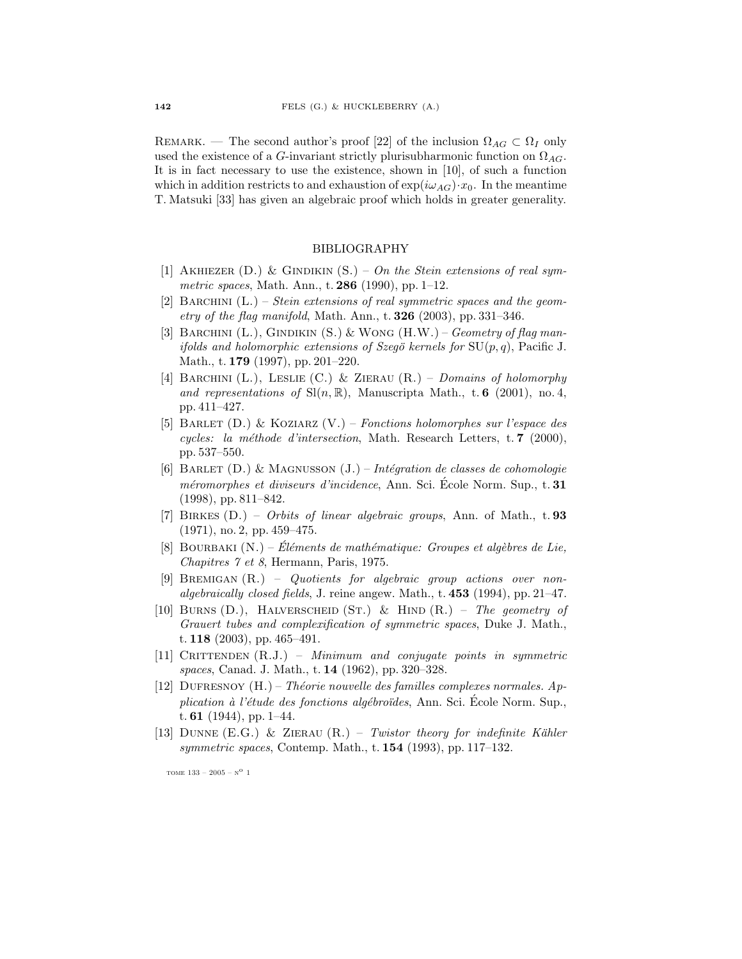REMARK. — The second author's proof [22] of the inclusion  $\Omega_{AG} \subset \Omega_I$  only used the existence of a G-invariant strictly plurisubharmonic function on  $\Omega_{AG}$ . It is in fact necessary to use the existence, shown in [10], of such a function which in addition restricts to and exhaustion of  $\exp(i\omega_{AG})\cdot x_0$ . In the meantime T. Matsuki [33] has given an algebraic proof which holds in greater generality.

## BIBLIOGRAPHY

- [1] AKHIEZER  $(D.)$  & GINDIKIN  $(S.)$  On the Stein extensions of real symmetric spaces, Math. Ann., t. 286 (1990), pp. 1–12.
- [2] BARCHINI  $(L.)$  Stein extensions of real symmetric spaces and the geom*etry of the flag manifold*, Math. Ann., t.  $326$  (2003), pp. 331–346.
- [3] BARCHINI  $(L.)$ , GINDIKIN  $(S.)$  & WONG  $(H.W.)$  Geometry of flag manifolds and holomorphic extensions of Szegö kernels for  $SU(p, q)$ , Pacific J. Math., t. **179** (1997), pp. 201–220.
- [4] BARCHINI (L.), LESLIE (C.) & ZIERAU  $(R.)$  Domains of holomorphy and representations of  $Sl(n, \mathbb{R})$ , Manuscripta Math., t. 6 (2001), no. 4, pp. 411–427.
- [5] BARLET  $(D.)$  & KOZIARZ  $(V.)$  Fonctions holomorphes sur l'espace des cycles: la méthode d'intersection, Math. Research Letters, t. 7 (2000), pp. 537–550.
- [6] BARLET  $(D.)$  & MAGNUSSON  $(J.)$  Intégration de classes de cohomologie méromorphes et diviseurs d'incidence, Ann. Sci. Ecole Norm. Sup., t. 31 (1998), pp. 811–842.
- [7] BIRKES (D.) Orbits of linear algebraic groups, Ann. of Math., t. 93 (1971), no. 2, pp. 459–475.
- [8] BOURBAKI  $(N.)$  Éléments de mathématique: Groupes et algèbres de Lie, Chapitres 7 et 8, Hermann, Paris, 1975.
- [9] BREMIGAN (R.) Quotients for algebraic group actions over nonalgebraically closed fields, J. reine angew. Math., t.  $453$  (1994), pp. 21–47.
- [10] BURNS  $(D.)$ , HALVERSCHEID  $(ST.)$  & HIND  $(R.)$  The geometry of Grauert tubes and complexification of symmetric spaces, Duke J. Math., t. 118 (2003), pp. 465–491.
- $[11]$  CRITTENDEN  $(R.J.) Minimum$  and conjugate points in symmetric spaces, Canad. J. Math., t. 14 (1962), pp. 320–328.
- [12] DUFRESNOY  $(H.)$  Théorie nouvelle des familles complexes normales. Application à l'étude des fonctions algébroïdes, Ann. Sci. École Norm. Sup., t.  $61$  (1944), pp. 1–44.
- [13] DUNNE (E.G.) & ZIERAU  $(R.)$  Twistor theory for indefinite Kähler symmetric spaces, Contemp. Math., t.  $154$  (1993), pp. 117–132.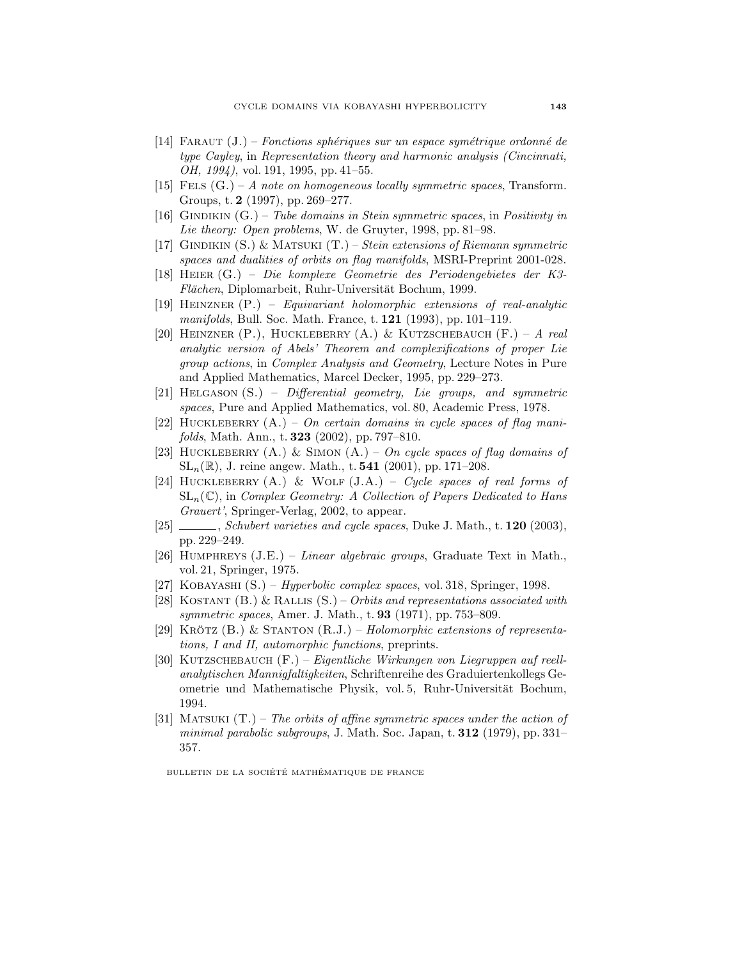- [14] FARAUT  $(J.)$  Fonctions sphériques sur un espace symétrique ordonné de type Cayley, in Representation theory and harmonic analysis (Cincinnati, OH, 1994), vol. 191, 1995, pp. 41–55.
- [15] FELS  $(G.) A$  note on homogeneous locally symmetric spaces, Transform. Groups, t. 2 (1997), pp. 269–277.
- [16] GINDIKIN  $(G.)$  Tube domains in Stein symmetric spaces, in Positivity in Lie theory: Open problems, W. de Gruyter, 1998, pp. 81–98.
- [17] GINDIKIN  $(S. ) \&$  MATSUKI  $(T. )$  *Stein extensions of Riemann symmetric* spaces and dualities of orbits on flag manifolds, MSRI-Preprint 2001-028.
- [18] Heier (G.) Die komplexe Geometrie des Periodengebietes der K3- Flächen, Diplomarbeit, Ruhr-Universität Bochum, 1999.
- [19] HEINZNER  $(P.)$  Equivariant holomorphic extensions of real-analytic *manifolds*, Bull. Soc. Math. France, t.  $121$  (1993), pp. 101–119.
- [20] HEINZNER (P.), HUCKLEBERRY  $(A.)$  & KUTZSCHEBAUCH  $(F.) A$  real analytic version of Abels' Theorem and complexifications of proper Lie group actions, in Complex Analysis and Geometry, Lecture Notes in Pure and Applied Mathematics, Marcel Decker, 1995, pp. 229–273.
- [21] HELGASON  $(S. ) -$  Differential geometry, Lie groups, and symmetric spaces, Pure and Applied Mathematics, vol. 80, Academic Press, 1978.
- [22] HUCKLEBERRY  $(A.) On certain domains in cycle spaces of flag mani$ folds, Math. Ann., t. 323 (2002), pp. 797–810.
- [23] HUCKLEBERRY  $(A.)$  & SIMON  $(A.)$  On cycle spaces of flag domains of  $SL_n(\mathbb{R})$ , J. reine angew. Math., t. 541 (2001), pp. 171–208.
- [24] HUCKLEBERRY  $(A.)$  & WOLF  $(J.A.)$  Cycle spaces of real forms of  $SL_n(\mathbb{C})$ , in Complex Geometry: A Collection of Papers Dedicated to Hans Grauert', Springer-Verlag, 2002, to appear.
- [25] Schubert varieties and cycle spaces, Duke J. Math., t. **120** (2003), pp. 229–249.
- [26] HUMPHREYS  $(J.E.)$  Linear algebraic groups, Graduate Text in Math., vol. 21, Springer, 1975.
- [27] KOBAYASHI (S.) *Hyperbolic complex spaces*, vol. 318, Springer, 1998.
- [28] KOSTANT  $(B.) \& R_{ALLIS}(S.) Orbits and representations associated with$ symmetric spaces, Amer. J. Math., t. **93** (1971), pp. 753–809.
- [29] KRÖTZ  $(B.)$  & STANTON  $(R.J.)$  Holomorphic extensions of representations, I and II, automorphic functions, preprints.
- [30] KUTZSCHEBAUCH  $(F. ) Eigentliche Wirkungen von Liegruppen auf reell$ analytischen Mannigfaltigkeiten, Schriftenreihe des Graduiertenkollegs Geometrie und Mathematische Physik, vol. 5, Ruhr-Universität Bochum, 1994.
- [31] MATSUKI  $(T.)$  The orbits of affine symmetric spaces under the action of minimal parabolic subgroups, J. Math. Soc. Japan, t. 312 (1979), pp. 331– 357.